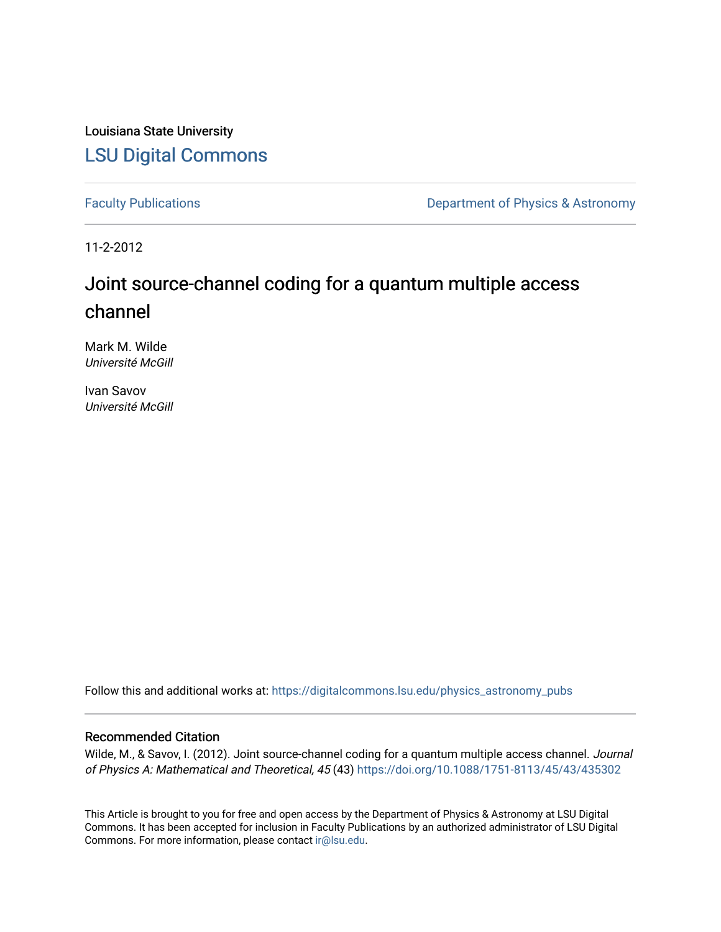Louisiana State University [LSU Digital Commons](https://digitalcommons.lsu.edu/)

[Faculty Publications](https://digitalcommons.lsu.edu/physics_astronomy_pubs) **Exercise 2 and Table 2 and Table 2 and Table 2 and Table 2 and Table 2 and Table 2 and Table 2 and Table 2 and Table 2 and Table 2 and Table 2 and Table 2 and Table 2 and Table 2 and Table 2 and Table** 

11-2-2012

# Joint source-channel coding for a quantum multiple access channel

Mark M. Wilde Université McGill

Ivan Savov Université McGill

Follow this and additional works at: [https://digitalcommons.lsu.edu/physics\\_astronomy\\_pubs](https://digitalcommons.lsu.edu/physics_astronomy_pubs?utm_source=digitalcommons.lsu.edu%2Fphysics_astronomy_pubs%2F5733&utm_medium=PDF&utm_campaign=PDFCoverPages) 

#### Recommended Citation

Wilde, M., & Savov, I. (2012). Joint source-channel coding for a quantum multiple access channel. Journal of Physics A: Mathematical and Theoretical, 45 (43)<https://doi.org/10.1088/1751-8113/45/43/435302>

This Article is brought to you for free and open access by the Department of Physics & Astronomy at LSU Digital Commons. It has been accepted for inclusion in Faculty Publications by an authorized administrator of LSU Digital Commons. For more information, please contact [ir@lsu.edu](mailto:ir@lsu.edu).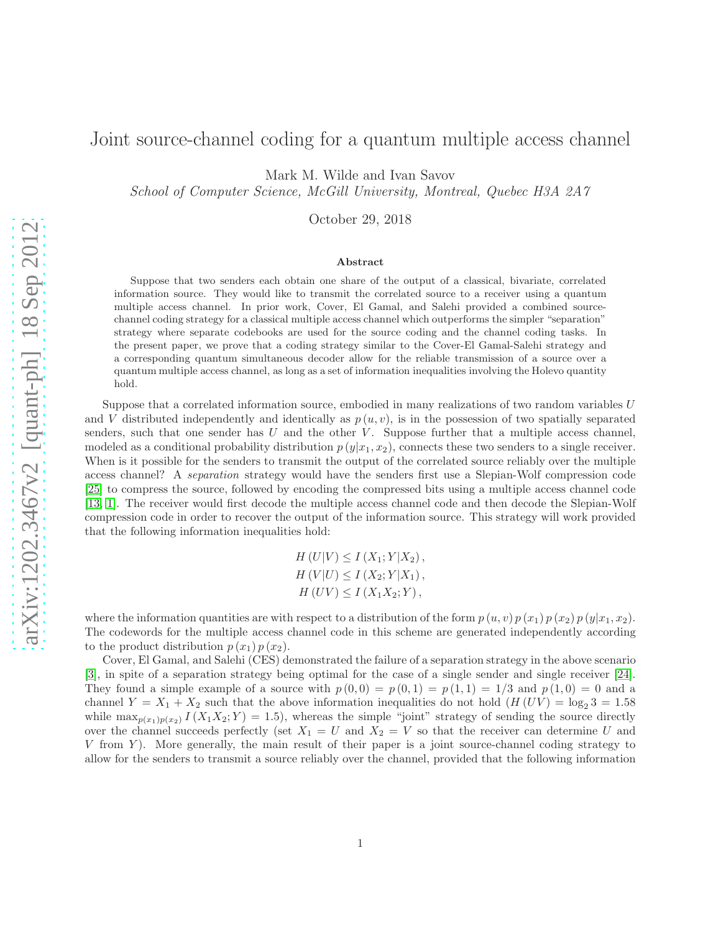### Joint source-channel coding for a quantum multiple access channel

Mark M. Wilde and Ivan Savov

School of Computer Science, McGill University, Montreal, Quebec H3A 2A7

October 29, 2018

#### Abstract

Suppose that two senders each obtain one share of the output of a classical, bivariate, correlated information source. They would like to transmit the correlated source to a receiver using a quantum multiple access channel. In prior work, Cover, El Gamal, and Salehi provided a combined sourcechannel coding strategy for a classical multiple access channel which outperforms the simpler "separation" strategy where separate codebooks are used for the source coding and the channel coding tasks. In the present paper, we prove that a coding strategy similar to the Cover-El Gamal-Salehi strategy and a corresponding quantum simultaneous decoder allow for the reliable transmission of a source over a quantum multiple access channel, as long as a set of information inequalities involving the Holevo quantity hold.

Suppose that a correlated information source, embodied in many realizations of two random variables U and V distributed independently and identically as  $p(u, v)$ , is in the possession of two spatially separated senders, such that one sender has  $U$  and the other  $V$ . Suppose further that a multiple access channel, modeled as a conditional probability distribution  $p(y|x_1, x_2)$ , connects these two senders to a single receiver. When is it possible for the senders to transmit the output of the correlated source reliably over the multiple access channel? A *separation* strategy would have the senders first use a Slepian-Wolf compression code [\[25\]](#page-20-0) to compress the source, followed by encoding the compressed bits using a multiple access channel code [\[13,](#page-19-0) [1\]](#page-19-1). The receiver would first decode the multiple access channel code and then decode the Slepian-Wolf compression code in order to recover the output of the information source. This strategy will work provided that the following information inequalities hold:

> $H(U|V) \leq I(X_1; Y|X_2),$  $H(V|U) \leq I(X_2;Y|X_1),$  $H (UV) \le I (X_1 X_2; Y),$

where the information quantities are with respect to a distribution of the form  $p(u, v) p(x_1) p(x_2) p(y|x_1, x_2)$ . The codewords for the multiple access channel code in this scheme are generated independently according to the product distribution  $p(x_1)p(x_2)$ .

Cover, El Gamal, and Salehi (CES) demonstrated the failure of a separation strategy in the above scenario [\[3\]](#page-19-2), in spite of a separation strategy being optimal for the case of a single sender and single receiver [\[24\]](#page-20-1). They found a simple example of a source with  $p(0,0) = p(0,1) = p(1,1) = 1/3$  and  $p(1,0) = 0$  and a channel  $Y = X_1 + X_2$  such that the above information inequalities do not hold  $(H(UV) = \log_2 3 = 1.58$ while  $\max_{p(x_1)p(x_2)} I(X_1X_2;Y) = 1.5$ , whereas the simple "joint" strategy of sending the source directly over the channel succeeds perfectly (set  $X_1 = U$  and  $X_2 = V$  so that the receiver can determine U and  $V$  from  $Y$ ). More generally, the main result of their paper is a joint source-channel coding strategy to allow for the senders to transmit a source reliably over the channel, provided that the following information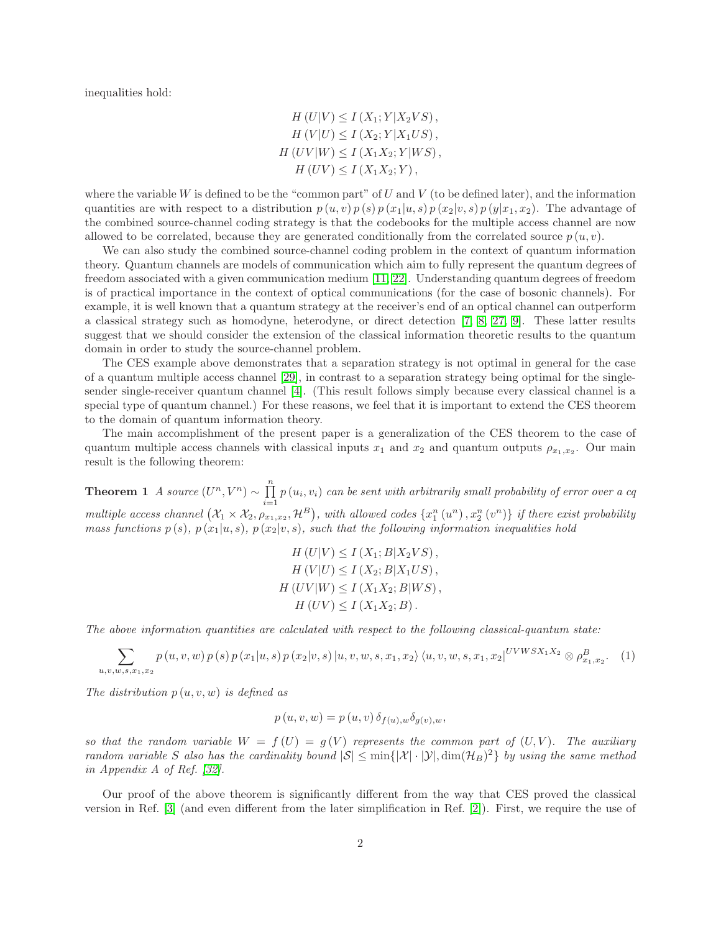inequalities hold:

$$
H(U|V) \le I(X_1; Y|X_2VS),
$$
  
\n
$$
H(V|U) \le I(X_2; Y|X_1US),
$$
  
\n
$$
H(UV|W) \le I(X_1X_2; Y|WS),
$$
  
\n
$$
H(UV) \le I(X_1X_2; Y),
$$

where the variable W is defined to be the "common part" of U and V (to be defined later), and the information quantities are with respect to a distribution  $p(u, v) p(s) p(x_1|u, s) p(x_2|v, s) p(y|x_1, x_2)$ . The advantage of the combined source-channel coding strategy is that the codebooks for the multiple access channel are now allowed to be correlated, because they are generated conditionally from the correlated source  $p(u, v)$ .

We can also study the combined source-channel coding problem in the context of quantum information theory. Quantum channels are models of communication which aim to fully represent the quantum degrees of freedom associated with a given communication medium [\[11,](#page-19-3) [22\]](#page-20-2). Understanding quantum degrees of freedom is of practical importance in the context of optical communications (for the case of bosonic channels). For example, it is well known that a quantum strategy at the receiver's end of an optical channel can outperform a classical strategy such as homodyne, heterodyne, or direct detection [\[7,](#page-19-4) [8,](#page-19-5) [27,](#page-20-3) [9\]](#page-19-6). These latter results suggest that we should consider the extension of the classical information theoretic results to the quantum domain in order to study the source-channel problem.

The CES example above demonstrates that a separation strategy is not optimal in general for the case of a quantum multiple access channel [\[29\]](#page-20-4), in contrast to a separation strategy being optimal for the singlesender single-receiver quantum channel [\[4\]](#page-19-7). (This result follows simply because every classical channel is a special type of quantum channel.) For these reasons, we feel that it is important to extend the CES theorem to the domain of quantum information theory.

The main accomplishment of the present paper is a generalization of the CES theorem to the case of quantum multiple access channels with classical inputs  $x_1$  and  $x_2$  and quantum outputs  $\rho_{x_1,x_2}$ . Our main result is the following theorem:

<span id="page-2-0"></span>**Theorem 1** *A source*  $(U^n, V^n) \sim \prod_{i=1}^n$  $\prod_{i=1} p(u_i, v_i)$  *can be sent with arbitrarily small probability of error over a cq*  $multiple access channel \left( X_1 \times X_2, \rho_{x_1,x_2}, \mathcal{H}^B \right)$ , with allowed codes  $\{x_1^n(u^n), x_2^n(v^n)\}$  *if there exist probability mass functions*  $p(s)$ *,*  $p(x_1|u, s)$ *,*  $p(x_2|v, s)$ *, such that the following information inequalities hold* 

$$
H(U|V) \le I(X_1; B|X_2VS),
$$
  
\n
$$
H(V|U) \le I(X_2; B|X_1US),
$$
  
\n
$$
H(UV|W) \le I(X_1X_2; B|WS),
$$
  
\n
$$
H(UV) \le I(X_1X_2; B).
$$

*The above information quantities are calculated with respect to the following classical-quantum state:*

<span id="page-2-1"></span>
$$
\sum_{u,v,w,s,x_1,x_2} p(u,v,w) p(s) p(x_1|u,s) p(x_2|v,s) |u,v,w,s,x_1,x_2\rangle \langle u,v,w,s,x_1,x_2|^{UVWSX_1X_2} \otimes \rho_{x_1,x_2}^B.
$$
 (1)

*The distribution* p (u, v, w) *is defined as*

$$
p(u, v, w) = p(u, v) \, \delta_{f(u), w} \delta_{g(v), w},
$$

so that the random variable  $W = f(U) = g(V)$  represents the common part of  $(U, V)$ . The auxiliary *random variable* S also has the cardinality bound  $|S| \le \min\{|X| \cdot |\mathcal{Y}|, \dim(\mathcal{H}_B)^2\}$  by using the same method *in Appendix A of Ref. [\[32\]](#page-21-0).*

Our proof of the above theorem is significantly different from the way that CES proved the classical version in Ref. [\[3\]](#page-19-2) (and even different from the later simplification in Ref. [\[2\]](#page-19-8)). First, we require the use of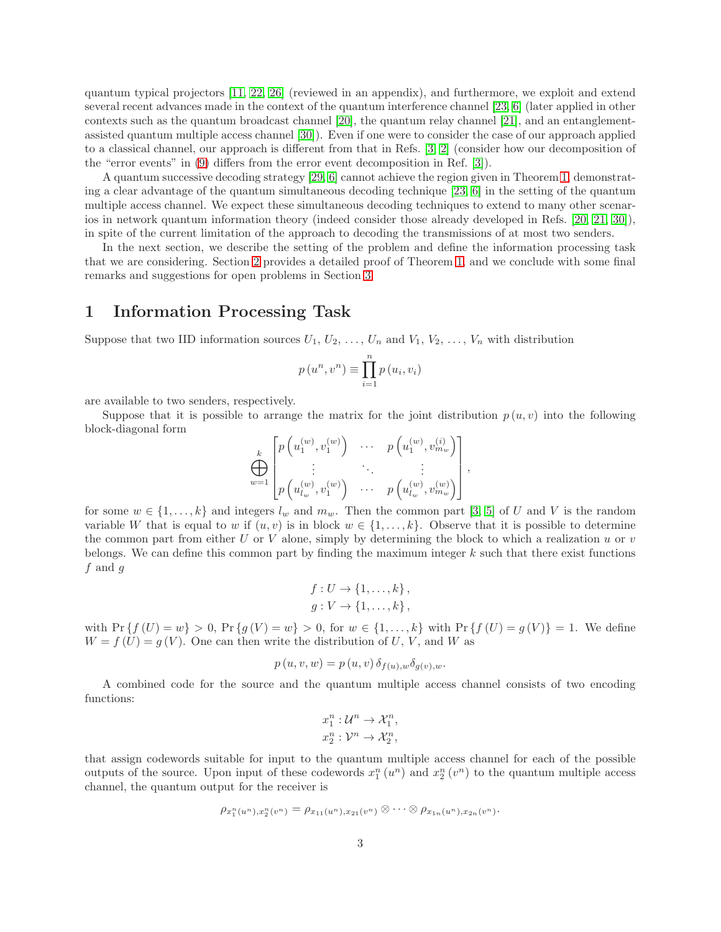quantum typical projectors [\[11,](#page-19-3) [22,](#page-20-2) [26\]](#page-20-5) (reviewed in an appendix), and furthermore, we exploit and extend several recent advances made in the context of the quantum interference channel [\[23,](#page-20-6) [6\]](#page-19-9) (later applied in other contexts such as the quantum broadcast channel [\[20\]](#page-20-7), the quantum relay channel [\[21\]](#page-20-8), and an entanglementassisted quantum multiple access channel [\[30\]](#page-20-9)). Even if one were to consider the case of our approach applied to a classical channel, our approach is different from that in Refs. [\[3,](#page-19-2) [2\]](#page-19-8) (consider how our decomposition of the "error events" in [\(9\)](#page-9-0) differs from the error event decomposition in Ref. [\[3\]](#page-19-2)).

A quantum successive decoding strategy [\[29,](#page-20-4) [6\]](#page-19-9) cannot achieve the region given in Theorem [1,](#page-2-0) demonstrating a clear advantage of the quantum simultaneous decoding technique [\[23,](#page-20-6) [6\]](#page-19-9) in the setting of the quantum multiple access channel. We expect these simultaneous decoding techniques to extend to many other scenarios in network quantum information theory (indeed consider those already developed in Refs. [\[20,](#page-20-7) [21,](#page-20-8) [30\]](#page-20-9)), in spite of the current limitation of the approach to decoding the transmissions of at most two senders.

In the next section, we describe the setting of the problem and define the information processing task that we are considering. Section [2](#page-4-0) provides a detailed proof of Theorem [1,](#page-2-0) and we conclude with some final remarks and suggestions for open problems in Section [3.](#page-15-0)

#### 1 Information Processing Task

Suppose that two IID information sources  $U_1, U_2, \ldots, U_n$  and  $V_1, V_2, \ldots, V_n$  with distribution

$$
p(u^n, v^n) \equiv \prod_{i=1}^n p(u_i, v_i)
$$

are available to two senders, respectively.

Suppose that it is possible to arrange the matrix for the joint distribution  $p(u, v)$  into the following block-diagonal form

$$
\bigoplus_{w=1}^k \begin{bmatrix} p\left(u_1^{(w)}, v_1^{(w)}\right) & \cdots & p\left(u_1^{(w)}, v_{m_w}^{(i)}\right) \\ \vdots & \ddots & \vdots \\ p\left(u_{l_w}^{(w)}, v_1^{(w)}\right) & \cdots & p\left(u_{l_w}^{(w)}, v_{m_w}^{(w)}\right) \end{bmatrix},
$$

for some  $w \in \{1, \ldots, k\}$  and integers  $l_w$  and  $m_w$ . Then the common part [\[3,](#page-19-2) [5\]](#page-19-10) of U and V is the random variable W that is equal to w if  $(u, v)$  is in block  $w \in \{1, \ldots, k\}$ . Observe that it is possible to determine the common part from either U or V alone, simply by determining the block to which a realization  $u$  or  $v$ belongs. We can define this common part by finding the maximum integer  $k$  such that there exist functions  $f$  and  $g$ 

$$
f: U \to \{1, \ldots, k\},
$$
  

$$
g: V \to \{1, \ldots, k\},
$$

with  $Pr\{f(U) = w\} > 0$ ,  $Pr\{g(V) = w\} > 0$ , for  $w \in \{1, ..., k\}$  with  $Pr\{f(U) = g(V)\} = 1$ . We define  $W = f(U) = g(V)$ . One can then write the distribution of U, V, and W as

$$
p(u, v, w) = p(u, v) \, \delta_{f(u), w} \delta_{g(v), w}.
$$

A combined code for the source and the quantum multiple access channel consists of two encoding functions:

$$
x_1^n: \mathcal{U}^n \to \mathcal{X}_1^n,
$$
  

$$
x_2^n: \mathcal{V}^n \to \mathcal{X}_2^n,
$$

that assign codewords suitable for input to the quantum multiple access channel for each of the possible outputs of the source. Upon input of these codewords  $x_1^n(u^n)$  and  $x_2^n(v^n)$  to the quantum multiple access channel, the quantum output for the receiver is

$$
\rho_{x_1^n(u^n),x_2^n(v^n)} = \rho_{x_{11}(u^n),x_{21}(v^n)} \otimes \cdots \otimes \rho_{x_{1n}(u^n),x_{2n}(v^n)}.
$$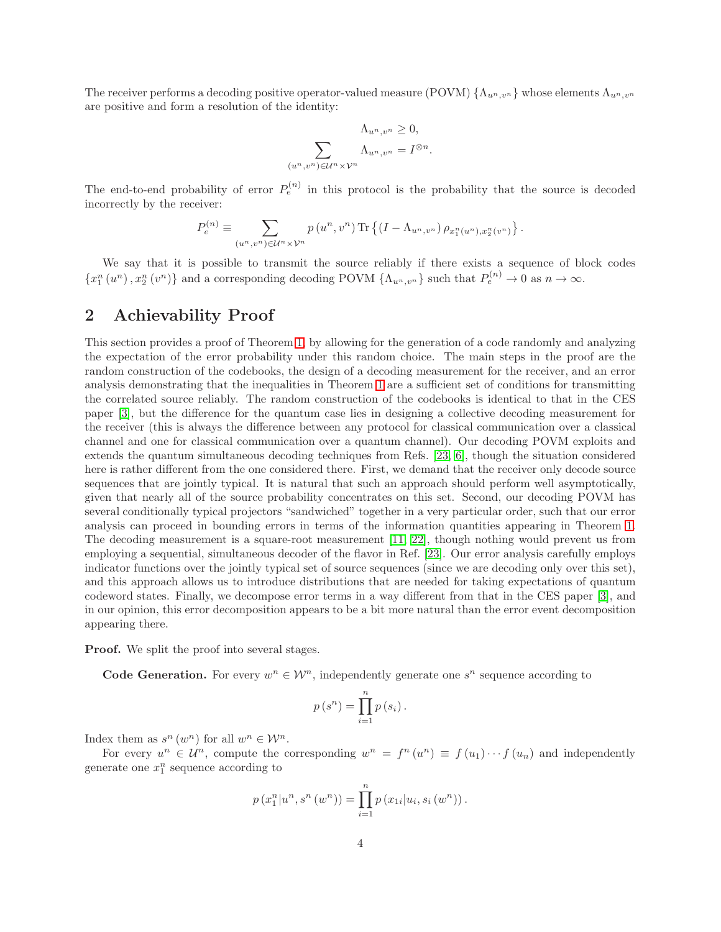The receiver performs a decoding positive operator-valued measure (POVM)  $\{\Lambda_{u^n,v^n}\}\$  whose elements  $\Lambda_{u^n,v^n}\$ are positive and form a resolution of the identity:

$$
\Lambda_{u^n, v^n} \ge 0,
$$
  

$$
\sum_{(u^n, v^n) \in \mathcal{U}^n \times \mathcal{V}^n} \Lambda_{u^n, v^n} = I^{\otimes n}
$$

.

The end-to-end probability of error  $P_e^{(n)}$  in this protocol is the probability that the source is decoded incorrectly by the receiver:

$$
P_e^{(n)} \equiv \sum_{(u^n,v^n)\in \mathcal{U}^n\times \mathcal{V}^n} p\left(u^n,v^n\right) \text{Tr}\left\{\left(I-\Lambda_{u^n,v^n}\right)\rho_{x_1^n(u^n),x_2^n(v^n)}\right\}.
$$

We say that it is possible to transmit the source reliably if there exists a sequence of block codes  $\{x_1^n(u^n), x_2^n(v^n)\}\$ and a corresponding decoding POVM  $\{\Lambda_{u^n,v^n}\}\$  such that  $P_e^{(n)} \to 0$  as  $n \to \infty$ .

#### <span id="page-4-0"></span>2 Achievability Proof

This section provides a proof of Theorem [1,](#page-2-0) by allowing for the generation of a code randomly and analyzing the expectation of the error probability under this random choice. The main steps in the proof are the random construction of the codebooks, the design of a decoding measurement for the receiver, and an error analysis demonstrating that the inequalities in Theorem [1](#page-2-0) are a sufficient set of conditions for transmitting the correlated source reliably. The random construction of the codebooks is identical to that in the CES paper [\[3\]](#page-19-2), but the difference for the quantum case lies in designing a collective decoding measurement for the receiver (this is always the difference between any protocol for classical communication over a classical channel and one for classical communication over a quantum channel). Our decoding POVM exploits and extends the quantum simultaneous decoding techniques from Refs. [\[23,](#page-20-6) [6\]](#page-19-9), though the situation considered here is rather different from the one considered there. First, we demand that the receiver only decode source sequences that are jointly typical. It is natural that such an approach should perform well asymptotically, given that nearly all of the source probability concentrates on this set. Second, our decoding POVM has several conditionally typical projectors "sandwiched" together in a very particular order, such that our error analysis can proceed in bounding errors in terms of the information quantities appearing in Theorem [1.](#page-2-0) The decoding measurement is a square-root measurement [\[11,](#page-19-3) [22\]](#page-20-2), though nothing would prevent us from employing a sequential, simultaneous decoder of the flavor in Ref. [\[23\]](#page-20-6). Our error analysis carefully employs indicator functions over the jointly typical set of source sequences (since we are decoding only over this set), and this approach allows us to introduce distributions that are needed for taking expectations of quantum codeword states. Finally, we decompose error terms in a way different from that in the CES paper [\[3\]](#page-19-2), and in our opinion, this error decomposition appears to be a bit more natural than the error event decomposition appearing there.

Proof. We split the proof into several stages.

**Code Generation.** For every  $w^n \in \mathcal{W}^n$ , independently generate one  $s^n$  sequence according to

$$
p(s^n) = \prod_{i=1}^n p(s_i).
$$

Index them as  $s^n(w^n)$  for all  $w^n \in \mathcal{W}^n$ .

For every  $u^n \in \mathcal{U}^n$ , compute the corresponding  $w^n = f^n(u^n) \equiv f(u_1) \cdots f(u_n)$  and independently generate one  $x_1^n$  sequence according to

$$
p(x_1^n|u^n, s^n(w^n)) = \prod_{i=1}^n p(x_{1i}|u_i, s_i(w^n)).
$$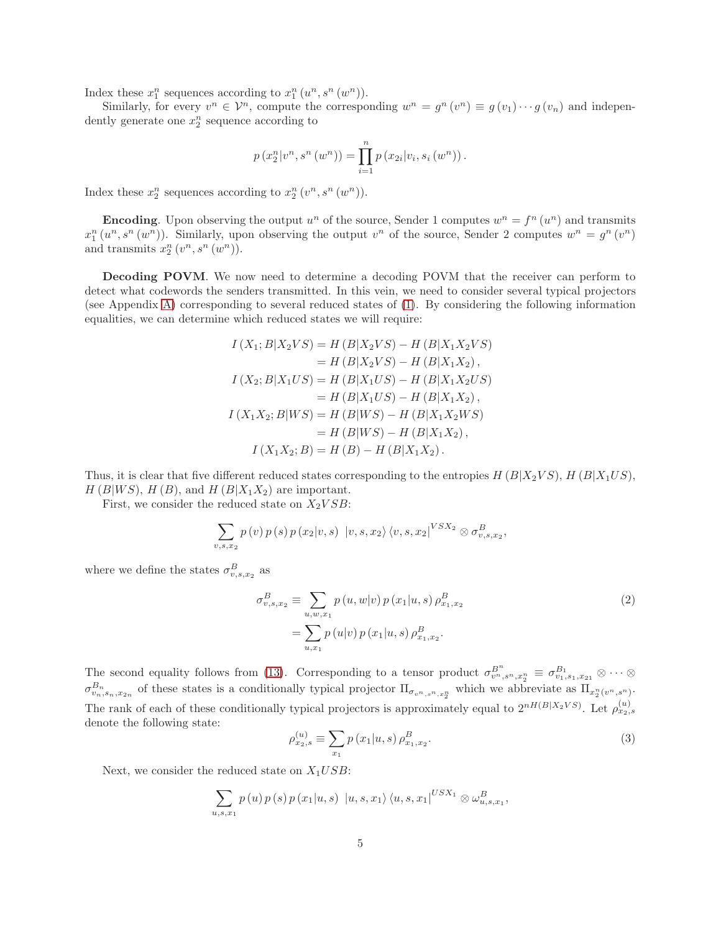Index these  $x_1^n$  sequences according to  $x_1^n(u^n, s^n(w^n))$ .

Similarly, for every  $v^n \in \mathcal{V}^n$ , compute the corresponding  $w^n = g^n(v^n) \equiv g(v_1) \cdots g(v_n)$  and independently generate one  $x_2^n$  sequence according to

$$
p(x_{2}^{n}|v^{n}, s^{n}(w^{n})) = \prod_{i=1}^{n} p(x_{2i}|v_{i}, s_{i}(w^{n})).
$$

Index these  $x_2^n$  sequences according to  $x_2^n(v^n, s^n(w^n))$ .

**Encoding**. Upon observing the output  $u^n$  of the source, Sender 1 computes  $w^n = f^n(u^n)$  and transmits  $x_1^n(u^n, s^n(w^n))$ . Similarly, upon observing the output  $v^n$  of the source, Sender 2 computes  $w^n = g^n(v^n)$ and transmits  $x_2^n(v^n, s^n(w^n))$ .

Decoding POVM. We now need to determine a decoding POVM that the receiver can perform to detect what codewords the senders transmitted. In this vein, we need to consider several typical projectors (see Appendix [A\)](#page-16-0) corresponding to several reduced states of [\(1\)](#page-2-1). By considering the following information equalities, we can determine which reduced states we will require:

$$
I(X_1; B|X_2VS) = H(B|X_2VS) - H(B|X_1X_2VS)
$$
  
\n
$$
= H(B|X_2VS) - H(B|X_1X_2),
$$
  
\n
$$
I(X_2; B|X_1US) = H(B|X_1US) - H(B|X_1X_2US)
$$
  
\n
$$
= H(B|X_1US) - H(B|X_1X_2),
$$
  
\n
$$
I(X_1X_2; B|WS) = H(B|WS) - H(B|X_1X_2WS)
$$
  
\n
$$
= H(B|WS) - H(B|X_1X_2),
$$
  
\n
$$
I(X_1X_2; B) = H(B) - H(B|X_1X_2).
$$

Thus, it is clear that five different reduced states corresponding to the entropies  $H(B|X_2VS)$ ,  $H(B|X_1US)$ ,  $H(B|WS)$ ,  $H(B)$ , and  $H(B|X_1X_2)$  are important.

First, we consider the reduced state on  $X_2 VSB$ :

$$
\sum_{v,s,x_2} p(v) p(s) p(x_2|v,s) |v,s,x_2\rangle \langle v,s,x_2|^{VSX_2} \otimes \sigma_{v,s,x_2}^B,
$$

where we define the states  $\sigma_{v,s,x_2}^B$  as

$$
\sigma_{v,s,x_2}^B \equiv \sum_{u,w,x_1} p(u,w|v) p(x_1|u,s) \rho_{x_1,x_2}^B
$$
\n
$$
= \sum_{u,x_1} p(u|v) p(x_1|u,s) \rho_{x_1,x_2}^B.
$$
\n(2)

The second equality follows from [\(13\)](#page-18-0). Corresponding to a tensor product  $\sigma_{v^n,s^n,x_2^n}^{B^n} \equiv \sigma_{v_1,s_1,x_{21}}^{B_1} \otimes \cdots \otimes$  $\sigma^{B_n}_{v_n,s_n,x_{2n}}$  of these states is a conditionally typical projector  $\Pi_{\sigma_v n,s_n,x_2}$  which we abbreviate as  $\Pi_{x_2^n(v^n,s^n)}$ . The rank of each of these conditionally typical projectors is approximately equal to  $2^{nH(B|X_2VS)}$ . Let  $\rho_{x_2,s}^{(u)}$ denote the following state:

<span id="page-5-1"></span><span id="page-5-0"></span>
$$
\rho_{x_2,s}^{(u)} \equiv \sum_{x_1} p(x_1|u,s) \,\rho_{x_1,x_2}^B. \tag{3}
$$

Next, we consider the reduced state on  $X_1USB$ :

$$
\sum_{u,s,x_1} p(u) p(s) p(x_1|u,s) |u,s,x_1\rangle \langle u,s,x_1|^{USX_1} \otimes \omega_{u,s,x_1}^B,
$$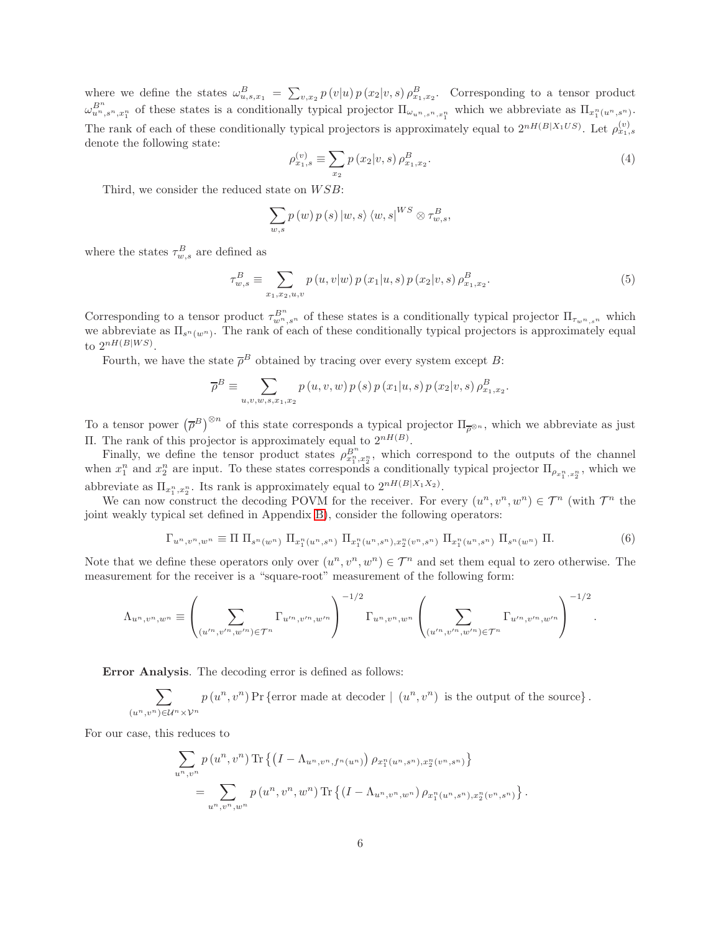where we define the states  $\omega_{u,s,x_1}^B = \sum_{v,x_2} p(v|u) p(x_2|v,s) \rho_{x_1,x_2}^B$ . Corresponding to a tensor product  $\omega_{u^n,s^n,x_1^n}^{B^n}$  of these states is a conditionally typical projector  $\Pi_{\omega_{u^n,s^n,x_1^n}}$  which we abbreviate as  $\Pi_{x_1^n(u^n,s^n)}$ . The rank of each of these conditionally typical projectors is approximately equal to  $2^{nH(B|X_1US)}$ . Let  $\rho_{x_1,s}^{(v)}$ denote the following state:

<span id="page-6-1"></span>
$$
\rho_{x_1,s}^{(v)} \equiv \sum_{x_2} p(x_2 | v, s) \, \rho_{x_1,x_2}^B. \tag{4}
$$

Third, we consider the reduced state on  $WSB$ :

$$
\sum_{w,s} p(w) p(s) |w,s\rangle \langle w,s|^{WS} \otimes \tau_{w,s}^B,
$$

where the states  $\tau_{w,s}^B$  are defined as

<span id="page-6-2"></span>
$$
\tau_{w,s}^{B} \equiv \sum_{x_1,x_2,u,v} p(u,v|w) p(x_1|u,s) p(x_2|v,s) \rho_{x_1,x_2}^{B}.
$$
\n(5)

Corresponding to a tensor product  $\tau_{w_n,s_n}^{B^n}$  of these states is a conditionally typical projector  $\Pi_{\tau_{w_n,s_n}}$  which we abbreviate as  $\Pi_{s^n(w^n)}$ . The rank of each of these conditionally typical projectors is approximately equal to  $2^{nH(B|WS)}$ .

Fourth, we have the state  $\overline{\rho}^B$  obtained by tracing over every system except B:

$$
\overline{\rho}^{B} \equiv \sum_{u,v,w,s,x_1,x_2} p(u,v,w) p(s) p(x_1|u,s) p(x_2|v,s) \rho_{x_1,x_2}^{B}.
$$

To a tensor power  $(\overline{\rho}^B)^{\otimes n}$  of this state corresponds a typical projector  $\Pi_{\overline{\rho}^{\otimes n}}$ , which we abbreviate as just II. The rank of this projector is approximately equal to  $2<sup>nH(B)</sup>$ .

Finally, we define the tensor product states  $\rho_{x_1^n,x_2^n}^{B^n}$ , which correspond to the outputs of the channel when  $x_1^n$  and  $x_2^n$  are input. To these states corresponds a conditionally typical projector  $\Pi_{\rho_{x_1^n,x_2^n}}$ , which we abbreviate as  $\Pi_{x_1^n, x_2^n}$ . Its rank is approximately equal to  $2^{nH(B|X_1X_2)}$ .

We can now construct the decoding POVM for the receiver. For every  $(u^n, v^n, w^n) \in \mathcal{T}^n$  (with  $\mathcal{T}^n$  the joint weakly typical set defined in Appendix [B\)](#page-17-0), consider the following operators:

<span id="page-6-0"></span>
$$
\Gamma_{u^n,v^n,w^n} \equiv \Pi \ \Pi_{s^n(w^n)} \ \Pi_{x_1^n(u^n,s^n)} \ \Pi_{x_1^n(u^n,s^n),x_2^n(v^n,s^n)} \ \Pi_{x_1^n(u^n,s^n)} \ \Pi_{s^n(w^n)} \ \Pi. \tag{6}
$$

Note that we define these operators only over  $(u^n, v^n, w^n) \in \mathcal{T}^n$  and set them equal to zero otherwise. The measurement for the receiver is a "square-root" measurement of the following form:

$$
\Lambda_{u^n,v^n,w^n} \equiv \left( \sum_{(u'^n,v'^n,w'^n) \in \mathcal{T}^n} \Gamma_{u'^n,v'^n,w'^n} \right)^{-1/2} \Gamma_{u^n,v^n,w^n} \left( \sum_{(u'^n,v'^n,w'^n) \in \mathcal{T}^n} \Gamma_{u'^n,v'^n,w'^n} \right)^{-1/2}.
$$

Error Analysis. The decoding error is defined as follows:

$$
\sum_{(u^n,v^n)\in\mathcal{U}^n\times\mathcal{V}^n}p(u^n,v^n)\Pr\{\text{error made at decoder} \mid (u^n,v^n) \text{ is the output of the source}\}.
$$

For our case, this reduces to

$$
\sum_{u^n, v^n} p(u^n, v^n) \text{Tr} \left\{ \left(I - \Lambda_{u^n, v^n, f^n(u^n)}\right) \rho_{x_1^n(u^n, s^n), x_2^n(v^n, s^n)} \right\}
$$
\n
$$
= \sum_{u^n, v^n, w^n} p(u^n, v^n, w^n) \text{Tr} \left\{ \left(I - \Lambda_{u^n, v^n, w^n}\right) \rho_{x_1^n(u^n, s^n), x_2^n(v^n, s^n)} \right\}.
$$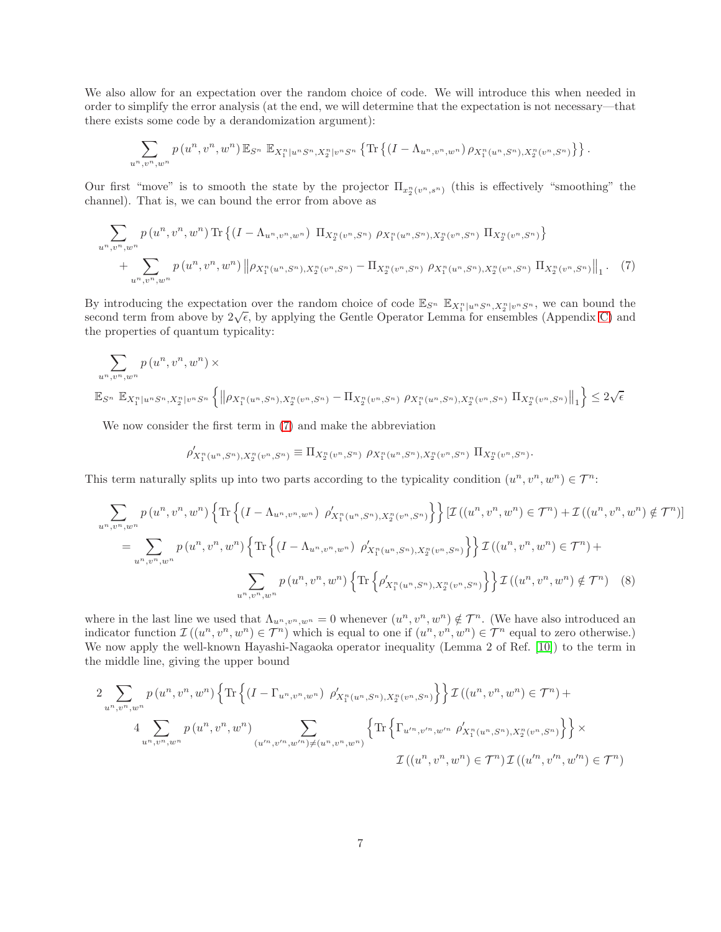We also allow for an expectation over the random choice of code. We will introduce this when needed in order to simplify the error analysis (at the end, we will determine that the expectation is not necessary—that there exists some code by a derandomization argument):

$$
\sum_{u^n,v^n,w^n} p(u^n,v^n,w^n) \mathbb{E}_{S^n} \mathbb{E}_{X_1^n|u^n S^n,X_2^n|v^n S^n} \left\{ \text{Tr} \left\{ (I-\Lambda_{u^n,v^n,w^n}) \rho_{X_1^n(u^n,S^n),X_2^n(v^n,S^n)} \right\} \right\}.
$$

Our first "move" is to smooth the state by the projector  $\Pi_{x_2^n(v^n,s^n)}$  (this is effectively "smoothing" the channel). That is, we can bound the error from above as

$$
\sum_{u^n, v^n, w^n} p(u^n, v^n, w^n) \text{Tr} \left\{ (I - \Lambda_{u^n, v^n, w^n}) \Pi_{X_2^n(v^n, S^n)} \rho_{X_1^n(u^n, S^n), X_2^n(v^n, S^n)} \Pi_{X_2^n(v^n, S^n)} \right\} + \sum_{u^n, v^n, w^n} p(u^n, v^n, w^n) \left\| \rho_{X_1^n(u^n, S^n), X_2^n(v^n, S^n)} - \Pi_{X_2^n(v^n, S^n)} \rho_{X_1^n(u^n, S^n), X_2^n(v^n, S^n)} \Pi_{X_2^n(v^n, S^n)} \Pi_{X_2^n(v^n, S^n)} \right\|_1. (7)
$$

By introducing the expectation over the random choice of code  $\mathbb{E}_{S^n}$   $\mathbb{E}_{X_1^n|u^nS^n,X_2^n|v^nS^n}$ , we can bound the second term from above by  $2\sqrt{\epsilon}$ , by applying the Gentle Operator Lemma for ensembles (Appendix [C\)](#page-18-1) and the properties of quantum typicality:

$$
\sum_{u^n, v^n, w^n} p(u^n, v^n, w^n) \times
$$
  

$$
\mathbb{E}_{S^n} \mathbb{E}_{X_1^n | u^n S^n, X_2^n | v^n S^n} \left\{ \left\| \rho_{X_1^n(u^n, S^n), X_2^n(v^n, S^n)} - \Pi_{X_2^n(v^n, S^n)} \rho_{X_1^n(u^n, S^n), X_2^n(v^n, S^n)} \Pi_{X_2^n(v^n, S^n)} \right\|_1 \right\} \leq 2\sqrt{\epsilon}
$$

We now consider the first term in [\(7\)](#page-7-0) and make the abbreviation

<span id="page-7-1"></span><span id="page-7-0"></span>
$$
\rho'_{X_1^n(u^n, S^n), X_2^n(v^n, S^n)} \equiv \Pi_{X_2^n(v^n, S^n)} \, \rho_{X_1^n(u^n, S^n), X_2^n(v^n, S^n)} \, \Pi_{X_2^n(v^n, S^n)}.
$$

This term naturally splits up into two parts according to the typicality condition  $(u^n, v^n, w^n) \in \mathcal{T}^n$ :

$$
\sum_{u^n, v^n, w^n} p(u^n, v^n, w^n) \left\{ \text{Tr} \left\{ (I - \Lambda_{u^n, v^n, w^n}) \ \rho'_{X_1^n(u^n, S^n), X_2^n(v^n, S^n)} \right\} \right\} \left[ \mathcal{I} \left( (u^n, v^n, w^n) \in \mathcal{T}^n \right) + \mathcal{I} \left( (u^n, v^n, w^n) \notin \mathcal{T}^n \right) \right]
$$
\n
$$
= \sum_{u^n, v^n, w^n} p(u^n, v^n, w^n) \left\{ \text{Tr} \left\{ (I - \Lambda_{u^n, v^n, w^n}) \ \rho'_{X_1^n(u^n, S^n), X_2^n(v^n, S^n)} \right\} \right\} \mathcal{I} \left( (u^n, v^n, w^n) \in \mathcal{T}^n \right) + \sum_{u^n, v^n, w^n} p(u^n, v^n, w^n) \left\{ \text{Tr} \left\{ \rho'_{X_1^n(u^n, S^n), X_2^n(v^n, S^n)} \right\} \right\} \mathcal{I} \left( (u^n, v^n, w^n) \notin \mathcal{T}^n \right) \quad (8)
$$

where in the last line we used that  $\Lambda_{u^n,v^n,w^n} = 0$  whenever  $(u^n,v^n,w^n) \notin \mathcal{T}^n$ . (We have also introduced an indicator function  $\mathcal{I}((u^n, v^n, w^n) \in \mathcal{T}^n)$  which is equal to one if  $(u^n, v^n, w^n) \in \mathcal{T}^n$  equal to zero otherwise.) We now apply the well-known Hayashi-Nagaoka operator inequality (Lemma 2 of Ref. [\[10\]](#page-19-11)) to the term in the middle line, giving the upper bound

$$
2 \sum_{u^n, v^n, w^n} p(u^n, v^n, w^n) \left\{ \text{Tr} \left\{ (I - \Gamma_{u^n, v^n, w^n}) \ \rho'_{X_1^n(u^n, S^n), X_2^n(v^n, S^n)} \right\} \right\} \mathcal{I} \left( (u^n, v^n, w^n) \in \mathcal{T}^n \right) +
$$
  

$$
4 \sum_{u^n, v^n, w^n} p(u^n, v^n, w^n) \sum_{(u'^n, v'^n, w'^n) \neq (u^n, v^n, w^n)} \left\{ \text{Tr} \left\{ \Gamma_{u'^n, v'^n, w'^n} \ \rho'_{X_1^n(u^n, S^n), X_2^n(v^n, S^n)} \right\} \right\} \times
$$
  

$$
\mathcal{I} \left( (u^n, v^n, w^n) \in \mathcal{T}^n \right) \mathcal{I} \left( (u'^n, v'^n, w'^n) \in \mathcal{T}^n \right)
$$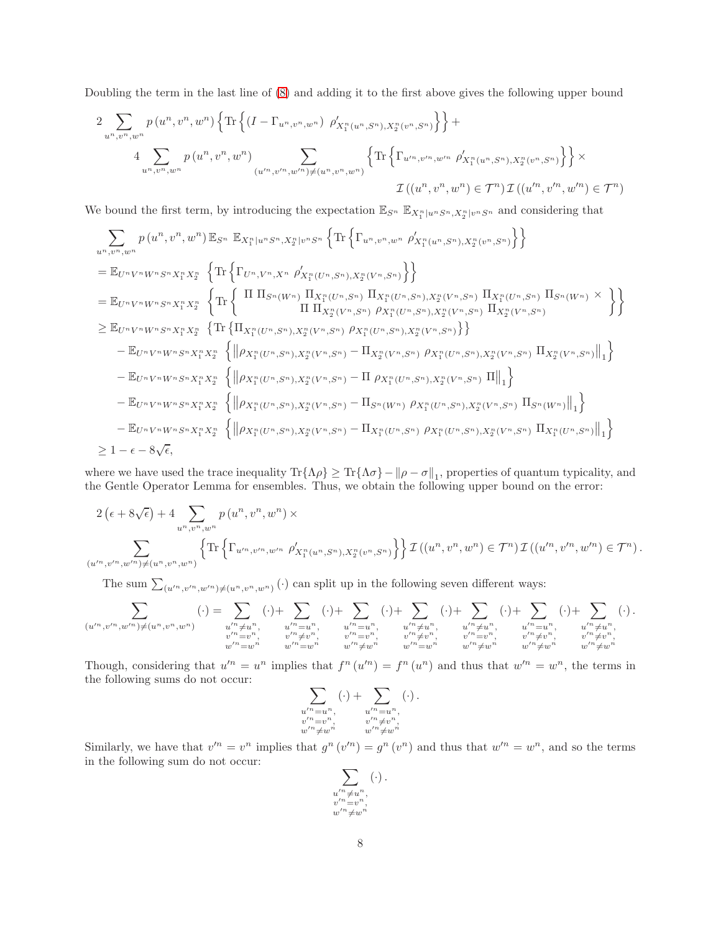Doubling the term in the last line of [\(8\)](#page-7-1) and adding it to the first above gives the following upper bound

$$
2 \sum_{u^n, v^n, w^n} p(u^n, v^n, w^n) \left\{ \text{Tr} \left\{ (I - \Gamma_{u^n, v^n, w^n}) \, \rho'_{X_1^n(u^n, S^n), X_2^n(v^n, S^n)} \right\} \right\} +
$$
  

$$
4 \sum_{u^n, v^n, w^n} p(u^n, v^n, w^n) \sum_{(u'^n, v'^n, w'^n) \neq (u^n, v^n, w^n)} \left\{ \text{Tr} \left\{ \Gamma_{u'^n, v'^n, w'^n} \, \rho'_{X_1^n(u^n, S^n), X_2^n(v^n, S^n)} \right\} \right\} \times
$$
  

$$
\mathcal{I}((u^n, v^n, w^n) \in \mathcal{T}^n) \mathcal{I}((u'^n, v'^n, w'^n) \in \mathcal{T}^n)
$$

We bound the first term, by introducing the expectation  $\mathbb{E}_{S^n}$   $\mathbb{E}_{X_1^n|u^nS^n,X_2^n|v^nS^n}$  and considering that

$$
\sum_{u^n,v^n,w^n} p(u^n,v^n,w^n) \mathbb{E}_{S^n} \mathbb{E}_{X_1^n|u^nS^n,X_2^n|v^nS^n} \left\{ \text{Tr} \left\{ \Gamma_{u^n,v^n,w^n} \rho'_{X_1^n(u^n,S^n),X_2^n(v^n,S^n)} \right\} \right\}
$$
\n
$$
= \mathbb{E}_{U^nV^nW^nS^nX_1^nX_2^n} \left\{ \text{Tr} \left\{ \Gamma_{U^n,V^n,X^n} \rho'_{X_1^n(U^n,S^n),X_2^n(V^n,S^n)} \right\} \right\}
$$
\n
$$
= \mathbb{E}_{U^nV^nW^nS^nX_1^nX_2^n} \left\{ \text{Tr} \left\{ \Pi \prod_{S^n(W^n)} \Pi_{X_1^n(U^n,S^n)} \Pi_{X_1^n(U^n,S^n),X_2^n(V^n,S^n)} \Pi_{X_1^n(U^n,S^n)} \Pi_{X_1^n(U^n,S^n)} \Pi_{S^n(W^n,S^n)} \right\} \right\}
$$
\n
$$
\geq \mathbb{E}_{U^nV^nW^nS^nX_1^nX_2^n} \left\{ \text{Tr} \left\{ \Pi_{X_1^n(U^n,S^n),X_2^n(V^n,S^n)} \rho_{X_1^n(U^n,S^n),X_2^n(V^n,S^n)} \right\} \right\}
$$
\n
$$
- \mathbb{E}_{U^nV^nW^nS^nX_1^nX_2^n} \left\{ \left\| \rho_{X_1^n(U^n,S^n),X_2^n(V^n,S^n)} - \Pi_{X_2^n(V^n,S^n)} \rho_{X_1^n(U^n,S^n),X_2^n(V^n,S^n)} \Pi_{X_2^n(V^n,S^n)} \Pi_{X_2^n(V^n,S^n)} \right\|_1 \right\}
$$
\n
$$
- \mathbb{E}_{U^nV^nW^nS^nX_1^nX_2^n} \left\{ \left\| \rho_{X_1^n(U^n,S^n),X_2^n(V^n,S^n)} - \Pi \rho_{X_1^n(U^n,S^n),X_2^n(V^n,S^n)} \Pi \right\|_1 \right\}
$$
\n
$$
- \mathbb{E}_{U^nV^nW^nS^nX_1^nX_2^n} \left\{ \left\| \rho_{X_1^n(U^n,S^n),X_2^n(V^n,S^n)} - \Pi_{S^n(W^n)} \rho_{X_1^n(U^n,S^n),X_2^n(V^n,S^n)} \Pi_{S^n(W^n)} \right\|_1 \right\}
$$
\n

where we have used the trace inequality  $\text{Tr}\{\Lambda\rho\} \geq \text{Tr}\{\Lambda\sigma\} - ||\rho - \sigma||_1$ , properties of quantum typicality, and the Gentle Operator Lemma for ensembles. Thus, we obtain the following upper bound on the error:

$$
2\left(\epsilon + 8\sqrt{\epsilon}\right) + 4 \sum_{u^n, v^n, w^n} p\left(u^n, v^n, w^n\right) \times
$$
  

$$
\sum_{(u'^n, v'^n, w'^n) \neq (u^n, v^n, w^n)} \left\{\text{Tr}\left\{\Gamma_{u'^n, v'^n, w'^n} \rho'_{X_1^n(u^n, S^n), X_2^n(v^n, S^n)}\right\}\right\} \mathcal{I}\left((u^n, v^n, w^n) \in \mathcal{T}^n\right) \mathcal{I}\left((u'^n, v'^n, w'^n) \in \mathcal{T}^n\right).
$$

The sum  $\sum_{(u'^n,v'^n,w'^n)\neq(u^n,v^n,w^n)}(\cdot)$  can split up in the following seven different ways:

$$
\sum_{(u'^n,v'^n,w'^n)\neq (u^n,v^n,w^n)}(\cdot) = \sum_{\substack{u'^n \neq u^n, \\ v'^n = v^n, \\ w'^n = w^n}} (\cdot) + \sum_{\substack{u'^n = u^n, \\ v'' \neq v^n, \\ w'^n = w^n}} (\cdot) + \sum_{\substack{u'^n = u^n, \\ v'' \neq v^n, \\ w'' \neq w^n}} (\cdot) + \sum_{\substack{u'^n \neq u^n, \\ v'' \neq u^n, \\ w'' \neq w^n, \\ w'' \neq w^n}} (\cdot) + \sum_{\substack{u'^n \neq u^n, \\ v'' \neq v^n, \\ w'' \neq w^n, \\ w'' \neq w^n}} (\cdot) + \sum_{\substack{u'^n = u^n, \\ v'' \neq v^n, \\ w'' \neq w^n, \\ w'' \neq w^n}} (\cdot) + \sum_{\substack{u'^n = u^n, \\ v'' \neq u^n, \\ w'' \neq w^n}} (\cdot).
$$

Though, considering that  $u'^n = u^n$  implies that  $f^n(u'^n) = f^n(u^n)$  and thus that  $w'^n = w^n$ , the terms in the following sums do not occur:

$$
\sum_{\substack{u'^n = u^n, \\ v'^n = v^n, \\ w'^n \neq w^n}} (\cdot) + \sum_{\substack{u'^n = u^n, \\ v'^n \neq v^n, \\ w'^n \neq w^n}} (\cdot).
$$

Similarly, we have that  $v'^n = v^n$  implies that  $g^n(v'^n) = g^n(v^n)$  and thus that  $w'^n = w^n$ , and so the terms in the following sum do not occur:

$$
\sum_{\substack{u'^n \neq u^n, \\ v'^n = v^n, \\ w'^n \neq w^n}} (\cdot) \, .
$$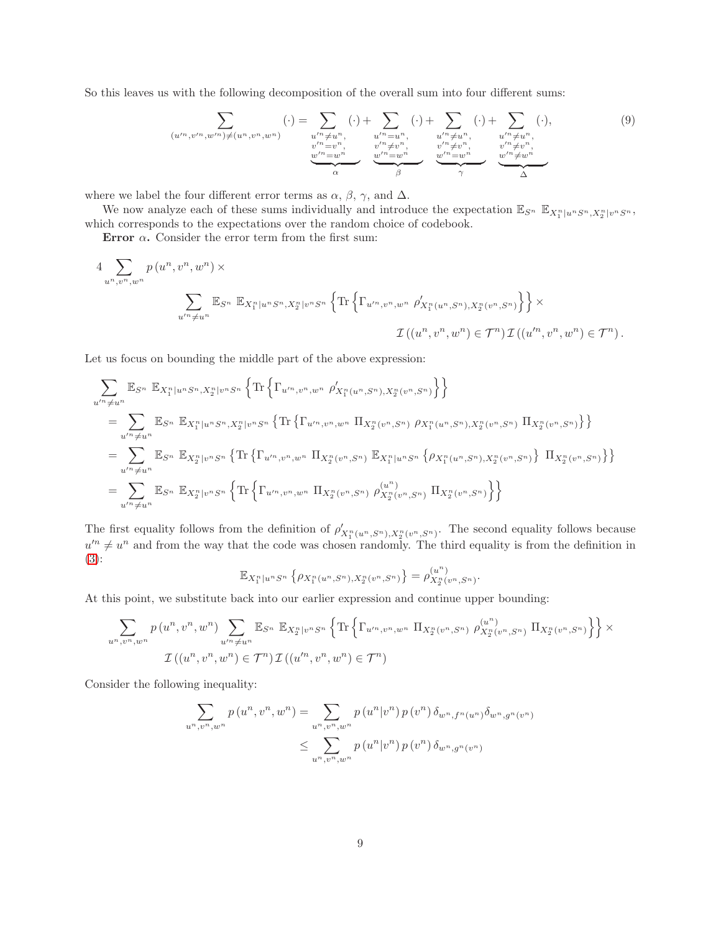So this leaves us with the following decomposition of the overall sum into four different sums:

<span id="page-9-0"></span>
$$
\sum_{(u'^n, v'^n, w'^n) \neq (u^n, v^n, w^n)} (\cdot) = \sum_{\substack{u'^n \neq u^n, \\ v'^n = v^n, \\ w'^n = w^n}} (\cdot) + \sum_{\substack{u'^n = u^n, \\ v'' \neq v^n, \\ w'' \neq v^n, \\ \varphi'' \neq v^n, \\ \varphi'' \neq v^n}} (\cdot) + \sum_{\substack{u'^n \neq u^n, \\ v'' \neq v^n, \\ w'' \neq v^n, \\ \varphi'' \neq v^n, \\ \varphi''' \neq v^n, \\ \varphi''' \neq v^n, \\ \varphi''' \neq v^n, \\ \varphi''' \neq v^n, \\ \varphi''' \neq v^n}
$$
\n
$$
(9)
$$

where we label the four different error terms as  $\alpha$ ,  $\beta$ ,  $\gamma$ , and  $\Delta$ .

We now analyze each of these sums individually and introduce the expectation  $\mathbb{E}_{S^n}$   $\mathbb{E}_{X_1^n|u^nS^n,X_2^n|v^nS^n}$ , which corresponds to the expectations over the random choice of codebook.

Error  $\alpha$ . Consider the error term from the first sum:

$$
4 \sum_{u^n, v^n, w^n} p(u^n, v^n, w^n) \times
$$
  

$$
\sum_{u'^n \neq u^n} \mathbb{E}_{S^n} \mathbb{E}_{X_1^n | u^n S^n, X_2^n | v^n S^n} \left\{ \text{Tr} \left\{ \Gamma_{u'^n, v^n, w^n} \rho'_{X_1^n(u^n, S^n), X_2^n(v^n, S^n)} \right\} \right\} \times
$$
  

$$
\mathcal{I}((u^n, v^n, w^n) \in \mathcal{T}^n) \mathcal{I}((u'^n, v^n, w^n) \in \mathcal{T}^n).
$$

Let us focus on bounding the middle part of the above expression:

$$
\sum_{u'^n \neq u^n} \mathbb{E}_{S^n} \mathbb{E}_{X_1^n | u^n S^n, X_2^n | v^n S^n} \left\{ \text{Tr} \left\{ \Gamma_{u'^n, v^n, w^n} \rho'_{X_1^n(u^n, S^n), X_2^n(v^n, S^n)} \right\} \right\}
$$
\n
$$
= \sum_{u'^n \neq u^n} \mathbb{E}_{S^n} \mathbb{E}_{X_1^n | u^n S^n, X_2^n | v^n S^n} \left\{ \text{Tr} \left\{ \Gamma_{u'^n, v^n, w^n} \Pi_{X_2^n(v^n, S^n)} \rho_{X_1^n(u^n, S^n), X_2^n(v^n, S^n)} \Pi_{X_2^n(v^n, S^n)} \right\} \right\}
$$
\n
$$
= \sum_{u'^n \neq u^n} \mathbb{E}_{S^n} \mathbb{E}_{X_2^n | v^n S^n} \left\{ \text{Tr} \left\{ \Gamma_{u'^n, v^n, w^n} \Pi_{X_2^n(v^n, S^n)} \mathbb{E}_{X_1^n | u^n S^n} \left\{ \rho_{X_1^n(u^n, S^n), X_2^n(v^n, S^n)} \right\} \Pi_{X_2^n(v^n, S^n)} \right\} \right\}
$$
\n
$$
= \sum_{u'^n \neq u^n} \mathbb{E}_{S^n} \mathbb{E}_{X_2^n | v^n S^n} \left\{ \text{Tr} \left\{ \Gamma_{u'^n, v^n, w^n} \Pi_{X_2^n(v^n, S^n)} \rho_{X_2^n(v^n, S^n)}^{(u^n)} \Pi_{X_2^n(v^n, S^n)} \right\} \right\}
$$

The first equality follows from the definition of  $\rho'_{X_1^n(u^n, S^n), X_2^n(v^n, S^n)}$ . The second equality follows because  $u'^n \neq u^n$  and from the way that the code was chosen randomly. The third equality is from the definition in [\(3\)](#page-5-0):

$$
\mathbb{E}_{X_1^n|u^n S^n} \left\{ \rho_{X_1^n(u^n, S^n), X_2^n(v^n, S^n)} \right\} = \rho_{X_2^n(v^n, S^n)}^{(u^n)}.
$$

At this point, we substitute back into our earlier expression and continue upper bounding:

$$
\sum_{u^n, v^n, w^n} p(u^n, v^n, w^n) \sum_{u'^n \neq u^n} \mathbb{E}_{S^n} \mathbb{E}_{X_2^n | v^n S^n} \left\{ \text{Tr} \left\{ \Gamma_{u'^n, v^n, w^n} \Pi_{X_2^n(v^n, S^n)} \rho_{X_2^n(v^n, S^n)}^{(u^n)} \Pi_{X_2^n(v^n, S^n)} \right\} \right\} \times
$$
  

$$
\mathcal{I}((u^n, v^n, w^n) \in \mathcal{T}^n) \mathcal{I}((u'^n, v^n, w^n) \in \mathcal{T}^n)
$$

Consider the following inequality:

$$
\sum_{u^n, v^n, w^n} p(u^n, v^n, w^n) = \sum_{u^n, v^n, w^n} p(u^n | v^n) p(v^n) \delta_{w^n, f^n(w^n)} \delta_{w^n, g^n(v^n)}
$$
  

$$
\leq \sum_{u^n, v^n, w^n} p(u^n | v^n) p(v^n) \delta_{w^n, g^n(v^n)}
$$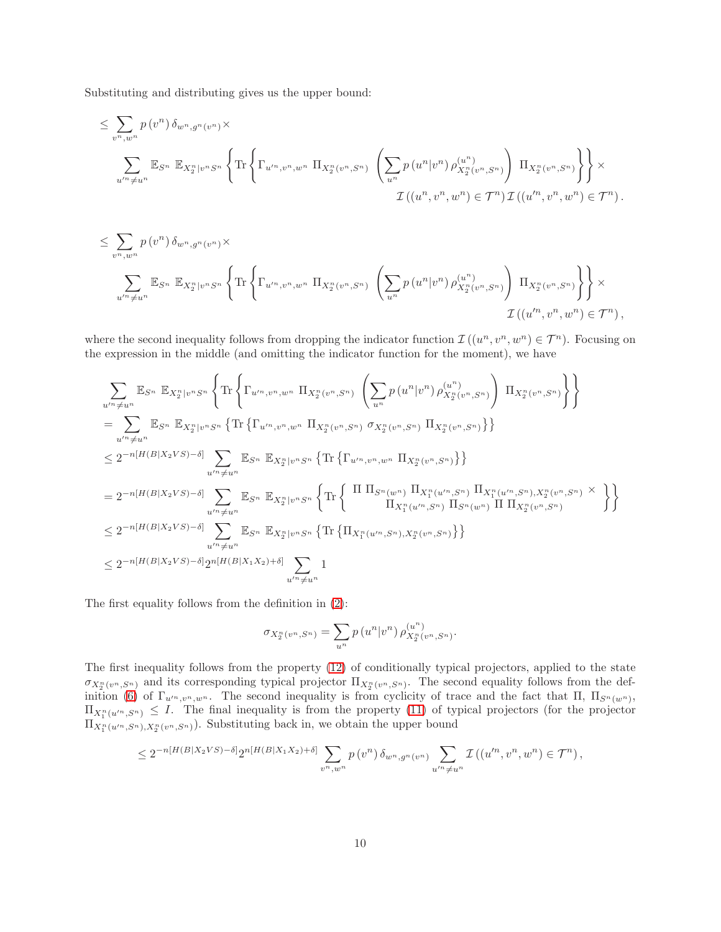Substituting and distributing gives us the upper bound:

$$
\leq \sum_{v^n, w^n} p(v^n) \, \delta_{w^n, g^n(v^n)} \times \\
\sum_{u'^n \neq u^n} \mathbb{E}_{S^n} \, \mathbb{E}_{X_2^n | v^n S^n} \left\{ \text{Tr} \left\{ \Gamma_{u'^n, v^n, w^n} \, \Pi_{X_2^n(v^n, S^n)} \, \left( \sum_{u^n} p(u^n | v^n) \, \rho_{X_2^n(v^n, S^n)}^{(u^n)} \right) \, \Pi_{X_2^n(v^n, S^n)} \right\} \right\} \times \\
\mathcal{I} \left( (u^n, v^n, w^n) \in \mathcal{T}^n \right) \mathcal{I} \left( (u'^n, v^n, w^n) \in \mathcal{T}^n \right).
$$

$$
\leq \sum_{v^n, w^n} p(v^n) \, \delta_{w^n, g^n(v^n)} \times \sum_{u'^n \neq u^n} \mathbb{E}_{S^n} \, \mathbb{E}_{X_2^n | v^n S^n} \left\{ \text{Tr} \left\{ \Gamma_{u'^n, v^n, w^n} \, \Pi_{X_2^n(v^n, S^n)} \left( \sum_{u^n} p(u^n | v^n) \, \rho_{X_2^n(v^n, S^n)}^{(u^n)} \right) \, \Pi_{X_2^n(v^n, S^n)} \right\} \right\} \times \mathcal{I} \left( (u'^n, v^n, w^n) \in \mathcal{T}^n \right),
$$

where the second inequality follows from dropping the indicator function  $\mathcal{I}((u^n, v^n, w^n) \in \mathcal{T}^n)$ . Focusing on the expression in the middle (and omitting the indicator function for the moment), we have

$$
\sum_{u'' \neq u^n} \mathbb{E}_{S^n} \mathbb{E}_{X_2^n | v^n S^n} \left\{ \text{Tr} \left\{ \Gamma_{u''',v^n,w^n} \Pi_{X_2^n (v^n, S^n)} \left( \sum_{u^n} p(u^n | v^n) \rho_{X_2^n (v^n, S^n)}^{(u^n)} \right) \Pi_{X_2^n (v^n, S^n)} \right\} \right\}
$$
\n
$$
= \sum_{u'' \neq u^n} \mathbb{E}_{S^n} \mathbb{E}_{X_2^n | v^n S^n} \left\{ \text{Tr} \left\{ \Gamma_{u''',v^n,w^n} \Pi_{X_2^n (v^n, S^n)} \sigma_{X_2^n (v^n, S^n)} \Pi_{X_2^n (v^n, S^n)} \right\} \right\}
$$
\n
$$
\leq 2^{-n[H(B|X_2VS)-\delta]} \sum_{u'' \neq u^n} \mathbb{E}_{S^n} \mathbb{E}_{X_2^n | v^n S^n} \left\{ \text{Tr} \left\{ \Gamma_{u''',v^n,w^n} \Pi_{X_2^n (v^n, S^n)} \right\} \right\}
$$
\n
$$
= 2^{-n[H(B|X_2VS)-\delta]} \sum_{u'' \neq u^n} \mathbb{E}_{S^n} \mathbb{E}_{X_2^n | v^n S^n} \left\{ \text{Tr} \left\{ \Pi_{S^n (w^n)} \Pi_{X_1^n (u'', S^n)} \Pi_{X_1^n (u'', S^n), X_2^n (v^n, S^n)} \times \right\} \right\}
$$
\n
$$
\leq 2^{-n[H(B|X_2VS)-\delta]} \sum_{u'' \neq u^n} \mathbb{E}_{S^n} \mathbb{E}_{X_2^n | v^n S^n} \left\{ \text{Tr} \left\{ \Pi_{X_1^n (u'', S^n), X_2^n (v^n, S^n)} \right\} \right\}
$$
\n
$$
\leq 2^{-n[H(B|X_2VS)-\delta]} 2^{n[H(B|X_1X_2)+\delta]} \sum_{u'' \neq u^n} 1
$$

The first equality follows from the definition in [\(2\)](#page-5-1):

$$
\sigma_{X_2^n(v^n, S^n)} = \sum_{u^n} p(u^n|v^n) \,\rho_{X_2^n(v^n, S^n)}^{(u^n)}.
$$

The first inequality follows from the property [\(12\)](#page-17-1) of conditionally typical projectors, applied to the state  $\sigma_{X_2^n(v^n, S^n)}$  and its corresponding typical projector  $\Pi_{X_2^n(v^n, S^n)}$ . The second equality follows from the def-inition [\(6\)](#page-6-0) of  $\Gamma_{u''',v'',w''}$ . The second inequality is from cyclicity of trace and the fact that  $\Pi$ ,  $\Pi_{S^n(w^n)}$ ,  $\Pi_{X_1^n(u'^n, S^n)} \leq I$ . The final inequality is from the property [\(11\)](#page-17-2) of typical projectors (for the projector  $\Pi_{X_1^n(u'^n, S^n), X_2^n(v^n, S^n)}$ . Substituting back in, we obtain the upper bound

$$
\leq 2^{-n[H(B|X_2VS)-\delta]}2^{n[H(B|X_1X_2)+\delta]}\sum_{v^n,w^n}p(v^n)\,\delta_{w^n,g^n(v^n)}\sum_{u'^n\neq u^n}\mathcal{I}\left((u'^n,v^n,w^n)\in\mathcal{T}^n\right),
$$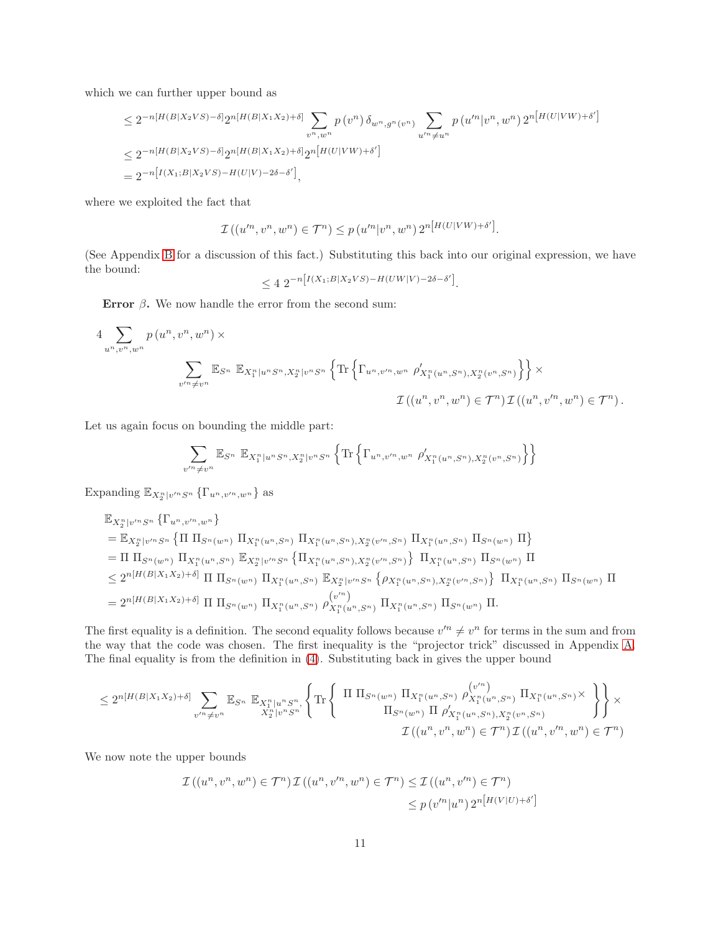which we can further upper bound as

$$
\leq 2^{-n[H(B|X_2VS)-\delta]} 2^{n[H(B|X_1X_2)+\delta]} \sum_{v^n,w^n} p(v^n) \delta_{w^n,g^n(v^n)} \sum_{u'^n \neq u^n} p(u'^n|v^n,w^n) 2^{n[H(U|VW)+\delta']}
$$
  
\n
$$
\leq 2^{-n[H(B|X_2VS)-\delta]} 2^{n[H(B|X_1X_2)+\delta]} 2^{n[H(U|VW)+\delta']}
$$
  
\n
$$
= 2^{-n[I(X_1;B|X_2VS)-H(U|V)-2\delta-\delta']}
$$

where we exploited the fact that

$$
\mathcal{I}((u'^n, v^n, w^n) \in \mathcal{T}^n) \le p(u'^n|v^n, w^n) 2^{n[H(U|VW) + \delta']}.
$$

(See Appendix [B](#page-17-0) for a discussion of this fact.) Substituting this back into our original expression, we have the bound:

$$
\leq 4 \; 2^{-n \left[ I(X_1; B | X_2 V S) - H(UW | V) - 2\delta - \delta' \right]}.
$$

Error  $\beta$ . We now handle the error from the second sum:

$$
4 \sum_{u^n, v^n, w^n} p(u^n, v^n, w^n) \times
$$
  

$$
\sum_{v'^n \neq v^n} \mathbb{E}_{S^n} \mathbb{E}_{X_1^n | u^n S^n, X_2^n | v^n S^n} \left\{ \text{Tr} \left\{ \Gamma_{u^n, v'^n, w^n} \rho'_{X_1^n(u^n, S^n), X_2^n(v^n, S^n)} \right\} \right\} \times
$$
  

$$
\mathcal{I}((u^n, v^n, w^n) \in \mathcal{T}^n) \mathcal{I}((u^n, v'^n, w^n) \in \mathcal{T}^n).
$$

Let us again focus on bounding the middle part:

$$
\sum_{v'^n \neq v^n} \mathbb{E}_{S^n} \mathbb{E}_{X_1^n|u^n S^n, X_2^n|v^n S^n} \left\{ \text{Tr} \left\{ \Gamma_{u^n, v'^n, w^n} \rho'_{X_1^n(u^n, S^n), X_2^n(v^n, S^n)} \right\} \right\}
$$

Expanding  $\mathbb{E}_{X_2^n|v'^nS^n}$  { $\Gamma_{u^n,v'^n,w^n}$ } as

$$
\mathbb{E}_{X_2^n|v'^n S^n} \{ \Gamma_{u^n,v'^n,w^n} \}
$$
\n
$$
= \mathbb{E}_{X_2^n|v'^n S^n} \{ \Pi \Pi_{S^n(w^n)} \Pi_{X_1^n(u^n, S^n)} \Pi_{X_1^n(u^n, S^n), X_2^n(v'^n, S^n)} \Pi_{X_1^n(u^n, S^n)} \Pi_{S^n(w^n)} \Pi \}
$$
\n
$$
= \Pi \Pi_{S^n(w^n)} \Pi_{X_1^n(u^n, S^n)} \mathbb{E}_{X_2^n|v'^n S^n} \{ \Pi_{X_1^n(u^n, S^n), X_2^n(v'^n, S^n)} \} \Pi_{X_1^n(u^n, S^n)} \Pi_{S^n(w^n)} \Pi
$$
\n
$$
\leq 2^{n[H(B|X_1X_2)+\delta]} \Pi \Pi_{S^n(w^n)} \Pi_{X_1^n(u^n, S^n)} \mathbb{E}_{X_2^n|v'^n S^n} \{ \rho_{X_1^n(u^n, S^n), X_2^n(v'^n, S^n)} \} \Pi_{X_1^n(u^n, S^n)} \Pi_{S^n(w^n)} \Pi_{S^n(w^n)} \Pi
$$
\n
$$
= 2^{n[H(B|X_1X_2)+\delta]} \Pi \Pi_{S^n(w^n)} \Pi_{X_1^n(u^n, S^n)} \rho_{X_1^n(u^n, S^n)}^{(v^n)} \Pi_{X_1^n(u^n, S^n)} \Pi_{S^n(w^n)} \Pi.
$$

The first equality is a definition. The second equality follows because  $v'^n \neq v^n$  for terms in the sum and from the way that the code was chosen. The first inequality is the "projector trick" discussed in Appendix [A.](#page-16-0) The final equality is from the definition in [\(4\)](#page-6-1). Substituting back in gives the upper bound

$$
\leq 2^{n[H(B|X_1X_2)+\delta]} \sum_{v'^n \neq v^n} \mathbb{E}_{S^n} \mathbb{E}_{X_1^n|u^nS^n} \left\{ \text{Tr} \left\{ \begin{array}{c} \Pi \Pi_{S^n(w^n)} \Pi_{X_1^n(u^n,S^n)} \rho_{X_1^n(u^n,S^n)}^{(v'^n)} \Pi_{X_1^n(u^n,S^n)} \times \\ \Pi_{S^n(w^n)} \Pi \rho_{X_1^n(u^n,S^n),X_2^n(v^n,S^n)}^{(v'^n)} \end{array} \right\} \right\} \times \frac{\sigma_{S^n(w^n)} \Pi_{S^n(w^n,S^n)} \Pi_{S^n(w^n,S^n)} \left\{ \begin{array}{c} \Pi_{S^n(w^n,S^n)} \Pi_{X_1^n(u^n,S^n)} \Pi_{X_2^n(u^n,S^n)} \times \\ \Pi_{S^n(w^n)} \Pi \rho_{X_1^n(u^n,S^n),X_2^n(v^n,S^n)}^{(v'^n)} \end{array} \right\} \right\}
$$

We now note the upper bounds

$$
\mathcal{I}((u^n, v^n, w^n) \in \mathcal{T}^n) \mathcal{I}((u^n, v'^n, w^n) \in \mathcal{T}^n) \le \mathcal{I}((u^n, v'^n) \in \mathcal{T}^n)
$$
  

$$
\le p(v'^n|u^n) 2^{n[H(V|U)+\delta']}
$$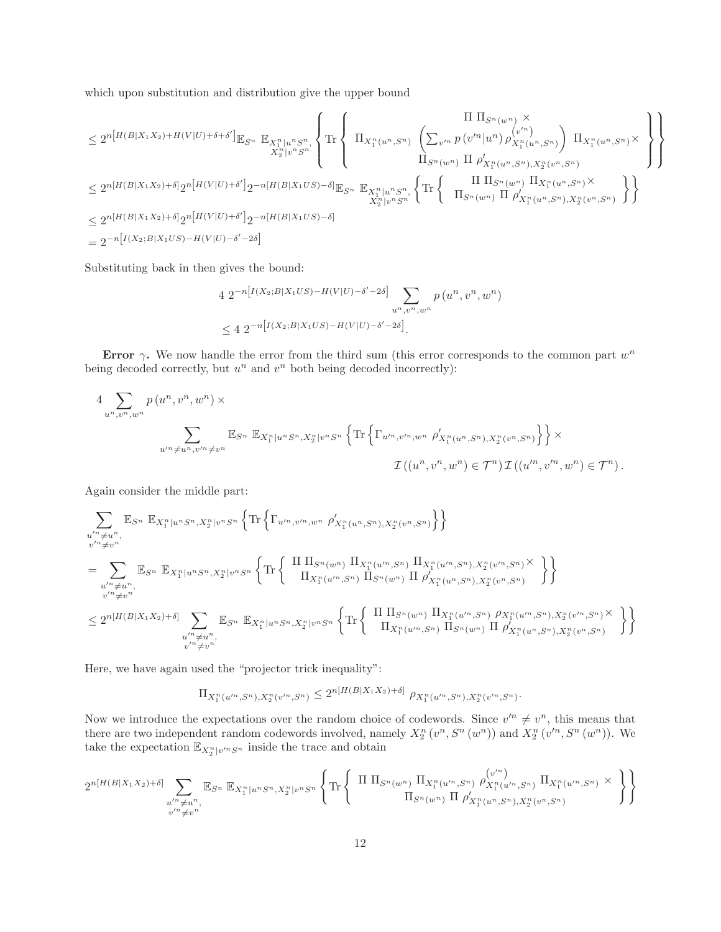which upon substitution and distribution give the upper bound

$$
\leq 2^{n[H(B|X_1X_2)+H(V|U)+\delta+\delta']}\mathbb{E}_{S^n} \mathop{\mathbb{E}}_{X_2^n|v^nS^n} \left\{ \text{Tr}\left\{ \begin{array}{c} \Pi \prod_{S^n(w^n)} \times \\ \prod_{X_1^n(u^n,S^n)} \left( \sum_{v'^n} p(v'^n|u^n) \rho_{X_1^n(u^n,S^n)}^{(v'^n)} \right) \prod_{X_1^n(u^n,S^n)} \times \\ \prod_{S^n(w^n)} \Pi \rho_{X_1^n(u^n,S^n),X_2^n(v^n,S^n)}^{(v^n)} \end{array} \right\} \right\}
$$
  

$$
\leq 2^{n[H(B|X_1X_2)+\delta]} 2^{n[H(V|U)+\delta']} 2^{-n[H(B|X_1US)-\delta]} \mathbb{E}_{S^n} \mathop{\mathbb{E}}_{X_1^n|u^nS^n} \left\{ \text{Tr}\left\{ \begin{array}{c} \Pi \prod_{S^n(w^n)} \Pi_{X_1^n(u^n,S^n),X_2^n(v^n,S^n)} \\ \prod_{S^n(w^n)} \Pi_{X_1^n(u^n,S^n),X_2^n(v^n,S^n)} \end{array} \right\} \right\}
$$
  

$$
\leq 2^{n[H(B|X_1X_2)+\delta]} 2^{n[H(V|U)+\delta']} 2^{-n[H(B|X_1US)-\delta]}
$$
  

$$
= 2^{-n[I(X_2;B|X_1US)-H(V|U)-\delta'-2\delta]}
$$

Substituting back in then gives the bound:

$$
4 \ 2^{-n\left[I(X_2;B|X_1US) - H(V|U) - \delta' - 2\delta\right]} \sum_{u^n, v^n, w^n} p(u^n, v^n, w^n)
$$
  

$$
\leq 4 \ 2^{-n\left[I(X_2;B|X_1US) - H(V|U) - \delta' - 2\delta\right]}.
$$

Error  $\gamma$ . We now handle the error from the third sum (this error corresponds to the common part  $w^n$ being decoded correctly, but  $u^n$  and  $v^n$  both being decoded incorrectly):

$$
4 \sum_{u^n, v^n, w^n} p(u^n, v^n, w^n) \times
$$
  

$$
\sum_{u'^n \neq u^n, v'^n \neq v^n} \mathbb{E}_{S^n} \mathbb{E}_{X_1^n | u^n S^n, X_2^n | v^n S^n} \left\{ \text{Tr} \left\{ \Gamma_{u'^n, v'^n, w^n} \rho'_{X_1^n(u^n, S^n), X_2^n(v^n, S^n)} \right\} \right\} \times
$$
  

$$
\mathcal{I}((u^n, v^n, w^n) \in \mathcal{T}^n) \mathcal{I}((u'^n, v'^n, w^n) \in \mathcal{T}^n).
$$

Again consider the middle part:

$$
\sum_{\substack{u'' \neq u^n, \\ v'' \neq v^n}} \mathbb{E}_{S^n} \mathbb{E}_{X_1^n | u^n S^n, X_2^n | v^n S^n} \left\{ \text{Tr} \left\{ \Gamma_{u''', v''', w^n} \rho'_{X_1^n(u^n, S^n), X_2^n(v^n, S^n)} \right\} \right\}
$$
\n
$$
= \sum_{\substack{u'' \neq u^n, \\ v'' \neq v^n}} \mathbb{E}_{S^n} \mathbb{E}_{X_1^n | u^n S^n, X_2^n | v^n S^n} \left\{ \text{Tr} \left\{ \begin{array}{c} \Pi \prod_{S^n(w^n)} \Pi_{X_1^n(u'', S^n)} \Pi_{X_1^n(u'', S^n), X_2^n(v'', S^n)} \times \prod_{S^n(v'', S^n)} \lambda_{S^n(v'', S^n)} \lambda_{S^n(v'', S^n)} \lambda_{S^n(v'', S^n)} \lambda_{S^n(v'', S^n)} \lambda_{S^n(v'', S^n)} \lambda_{S^n(v'', S^n)} \lambda_{S^n(v'', S^n)} \lambda_{S^n(v'', S^n)} \lambda_{S^n(v'', S^n)} \lambda_{S^n(v'', S^n)} \lambda_{S^n(v'', S^n)} \lambda_{S^n(v'', S^n)} \lambda_{S^n(v'', S^n)} \lambda_{S^n(v'', S^n)} \lambda_{S^n(v'', S^n)} \lambda_{S^n(v'', S^n)} \lambda_{S^n(v'', S^n)} \lambda_{S^n(v'', S^n)} \lambda_{S^n(v'', S^n)} \lambda_{S^n(v'', S^n)} \lambda_{S^n(v'', S^n)} \lambda_{S^n(v'', S^n)} \lambda_{S^n(v'', S^n)} \lambda_{S^n(v'', S^n)} \lambda_{S^n(v'', S^n)} \lambda_{S^n(v'', S^n)} \lambda_{S^n(v'', S^n)} \lambda_{S^n(v'', S^n)} \lambda_{S^n(v'', S^n)} \lambda_{S^n(v'', S^n)} \lambda_{S^n(v'', S^n)} \lambda_{S^n(v'', S^n)} \lambda_{S^n(v'', S^n)} \lambda_{S^n(v'', S^n)} \lambda_{S^n(v'', S^n)} \lambda_{S^n(v'', S^n)} \lambda_{S^n(v'', S^n)} \lambda_{S^n(v'', S^n)} \lambda_{S^n(v'', S^n)} \lambda_{S^n(v'', S^n)} \lambda_{S^n(v'', S^n)} \lambda_{S^n(v'', S^n)} \lambda_{S^n(v'', S^n)} \lambda_{S^n(v'', S^n)} \lambda_{S^n(v'', S^n)} \lambda_{S^n(v'', S^n)} \lambda_{S^n(v'', S^n)} \lambda_{S^n(v'', S^n)} \lambda_{S^n(v'', S^n)} \lambda_{S^n(v'', S^n)}
$$

Here, we have again used the "projector trick inequality":

$$
\Pi_{X_1^n(u'^n, S^n), X_2^n(v'^n, S^n)} \le 2^{n[H(B|X_1X_2)+\delta]} \rho_{X_1^n(u'^n, S^n), X_2^n(v'^n, S^n)}.
$$

Now we introduce the expectations over the random choice of codewords. Since  $v'^n \neq v^n$ , this means that there are two independent random codewords involved, namely  $X_2^n(v^n, S^n(w^n))$  and  $X_2^n(v'^n, S^n(w^n))$ . We take the expectation  $\mathbb{E}_{X_2^n|v^nS^n}$  inside the trace and obtain

$$
2^{n[H(B|X_1X_2)+\delta]} \sum_{\substack{u'' \neq u^n, \\ v'' \neq v^n}} \mathbb{E}_{S^n} \mathbb{E}_{X_1^n|u^nS^n, X_2^n|v^nS^n} \left\{ \text{Tr} \left\{ \begin{array}{c} \Pi \prod_{S^n(w^n)} \prod_{X_1^n(u'^n, S^n)} \rho_{X_1^n(u'^n, S^n)}^{(v'^n)} \prod_{X_1^n(u'^n, S^n)} X_1^n(u'^n, S^n) \times \\ \prod_{S^n(w^n)} \prod_{S^n(u^n, S^n), X_2^n(v^n, S^n)} \end{array} \right\} \right\}
$$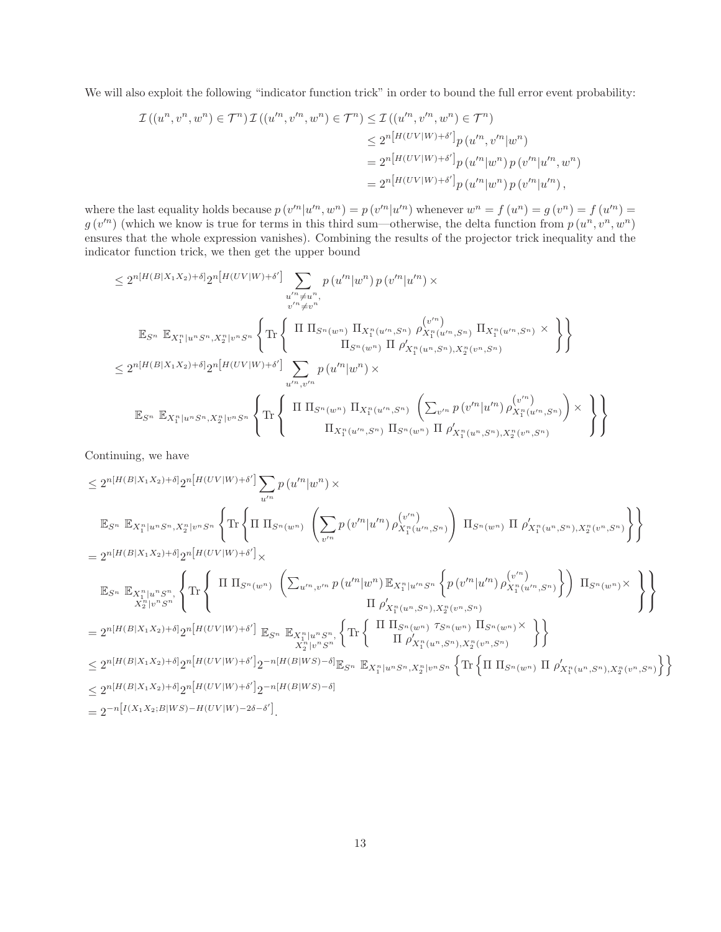We will also exploit the following "indicator function trick" in order to bound the full error event probability:

$$
\mathcal{I}((u^n, v^n, w^n) \in \mathcal{T}^n) \mathcal{I}((u'^n, v'^n, w^n) \in \mathcal{T}^n) \leq \mathcal{I}((u'^n, v'^n, w^n) \in \mathcal{T}^n)
$$
  
\n
$$
\leq 2^{n[H(UV|W) + \delta']} p(u'^n, v'^n | w^n)
$$
  
\n
$$
= 2^{n[H(UV|W) + \delta']} p(u'^n | w^n) p(v'^n | u'^n, w^n)
$$
  
\n
$$
= 2^{n[H(UV|W) + \delta']} p(u'^n | w^n) p(v'^n | u'^n),
$$

where the last equality holds because  $p(v'^n|u'^n, w^n) = p(v'^n|u'^n)$  whenever  $w^n = f(u^n) = g(v^n) = f(u'^n) = g(v^n)$  $g(v'^n)$  (which we know is true for terms in this third sum—otherwise, the delta function from  $p(u^n, v^n, w^n)$ ensures that the whole expression vanishes). Combining the results of the projector trick inequality and the indicator function trick, we then get the upper bound

$$
\leq 2^{n[H(B|X_1X_2)+\delta]} 2^{n[H(UV|W)+\delta']}\sum_{\substack{u'' \neq u^n, \\ v'' \neq v''}} p(u''^{\dagger} |w^n) p(v''^{\dagger} |u''^{\dagger}) \times
$$
\n
$$
\mathbb{E}_{S^n} \mathbb{E}_{X_1^n | u^n S^n, X_2^n | v^n S^n} \left\{ \text{Tr} \left\{ \begin{array}{c} \Pi \prod_{S^n(w^n)} \prod_{X_1^n(u^n, S^n)} \rho_{X_1^n(u^n, S^n)}^{(v'')}\prod_{X_1^n(u^n, S^n)} \lambda \leq 2^{n[H(B|X_1X_2)+\delta]} 2^{n[H(UV|W)+\delta']} \prod_{u''', v''} p(u''^{\dagger} |w^n) \times \end{array} \right\}
$$
\n
$$
\leq 2^{n[H(B|X_1X_2)+\delta]} 2^{n[H(UV|W)+\delta']} \sum_{u''', v''} p(u''^{\dagger} |w^n) \times
$$
\n
$$
\mathbb{E}_{S^n} \mathbb{E}_{X_1^n | u^n S^n, X_2^n | v^n S^n} \left\{ \text{Tr} \left\{ \begin{array}{c} \Pi \prod_{S^n(w^n)} \prod_{X_1^n(u'', S^n)} \left( \sum_{v''^n} p(v''^{\dagger} | u''^{\dagger}) \rho_{X_1^n(u'', S^n)}^{(v''^{\dagger})} \right) \times \lambda \prod_{X_1^n(u'', S^n)} \prod_{S^n(w^n)} \prod_{v''} \rho_{X_1^n(u'', S^n), X_2^n(v^n, S^n)}^{(v''^{\dagger})} \end{array} \right\}
$$

Continuing, we have

$$
\leq 2^{n[H(B|X_1X_2)+\delta]} 2^{n[H(UV|W)+\delta']}\sum_{u'^n} p(u'^n|w^n) \times
$$
  

$$
\mathbb{E}_{S^n} \mathbb{E}_{X_1^n|u^nS^n, X_2^n|v^nS^n} \left\{ \text{Tr} \left\{ \Pi \prod_{S^n(w^n)} \left( \sum_{v'^n} p(v'^n|u'^n) \rho_{X_1^n(u'^n,S^n)}^{(v'^n)} \right) \Pi_{S^n(w^n)} \Pi \rho_{X_1^n(u^n,S^n), X_2^n(v^n,S^n)}^{'} \right\} \right\}
$$
  

$$
= 2^{n[H(B|X_1X_2)+\delta]} 2^{n[H(UV|W)+\delta']} \times
$$

$$
\mathbb{E}_{S^n} \mathbb{E}_{X_1^n|u^nS^n, \n\left\{\n\text{Tr}\left\{\n\begin{array}{c}\n\text{Tr}\left\{\n\begin{array}{c}\n\text{Tr}\left\{\n\begin{array}{c}\n\text{Tr}\left\{\n\begin{array}{c}\n\sum_{u'^n,v'^n} p(u'^n|w^n) \mathbb{E}_{X_1^n|u'^nS^n} \left\{p(v'^n|u'^n)\rho_{X_1^n(u'^n,S^n)}^{(v'^n)}\right\}\n\end{array}\right\}\n\end{array}\right\}\n\end{array}\n\right\} \\
= 2^{n[H(B|X_1X_2)+\delta]} 2^{n[H(UV|W)+\delta']} \mathbb{E}_{S^n} \mathbb{E}_{X_1^n|u^nS^n, \n\left\{\n\text{Tr}\left\{\n\begin{array}{c}\n\text{Tr}\left\{\n\begin{array}{c}\n\text{Tr}\left\{\n\begin{array}{c}\n\text{Tr}(w^n) \mathcal{T}_{S^n(u^n,S^n)}\n\end{array}\right\}\n\end{array}\right\}\n\end{array}\right\}\n\right\} \\
\leq 2^{n[H(B|X_1X_2)+\delta]} 2^{n[H(UV|W)+\delta']} 2^{-n[H(B|W S)-\delta]} \mathbb{E}_{S^n} \mathbb{E}_{X_1^n|u^nS^n, X_2^n|v^nS^n}\n\left\{\n\text{Tr}\left\{\n\begin{array}{c}\n\text{Tr}\left\{\n\begin{array}{c}\n\text{Tr}\left\{\n\begin{array}{c}\n\text{Tr}\left\{\n\begin{array}{c}\n\text{Tr}\left\{\n\begin{array}{c}\n\text{Tr}\left\{\n\begin{array}{c}\n\text{Tr}\left\{\n\begin{array}{c}\n\text{Tr}\left\{\n\begin{array}{c}\n\text{Tr}\left\{\n\begin{array}{c}\n\text{Tr}\left\{\n\begin{array}{c}\n\text{Tr}\left\{\n\begin{array}{c}\n\text{Tr}\left\{\n\begin{array}{c}\n\text{Tr}\left\{\n\begin{array}{c}\n\text{Tr}\left\{\n\begin{array}{c}\n\text{Tr}\left\{\n\begin{array}{c}\n\text{Tr}\left\{\n\begin{array}{c}\n\text{Tr}\left\{\n\begin{array}{c}\n\text{Tr}\left\{\n\begin{array}{c}\
$$

$$
\nonumber \leq 2^{n[H(B|X_1X_2)+\delta]} 2^{n[H(UV|W)+\delta'] } 2^{-n[H(B|WS)-\delta]}\\
$$

 $= 2^{-n[ I(X_1X_2;B|WS) - H(UV|W) - 2\delta - \delta']}.$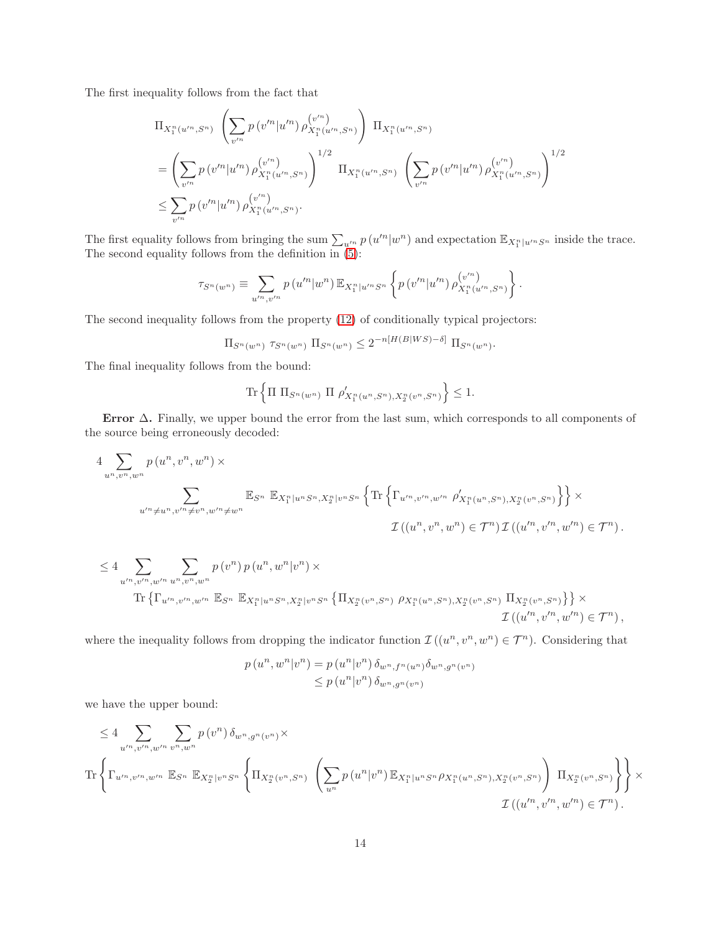The first inequality follows from the fact that

$$
\Pi_{X_1^n(u'^n, S^n)} \left( \sum_{v'^n} p(v'^n | u'^n) \rho_{X_1^n(u'^n, S^n)}^{(v'^n)} \right) \Pi_{X_1^n(u'^n, S^n)}
$$
\n
$$
= \left( \sum_{v'^n} p(v'^n | u'^n) \rho_{X_1^n(u'^n, S^n)}^{(v'^n)} \right)^{1/2} \Pi_{X_1^n(u'^n, S^n)} \left( \sum_{v'^n} p(v'^n | u'^n) \rho_{X_1^n(u'^n, S^n)}^{(v'^n)} \right)^{1/2}
$$
\n
$$
\leq \sum_{v'^n} p(v'^n | u'^n) \rho_{X_1^n(u'^n, S^n)}^{(v'^n)}.
$$

The first equality follows from bringing the sum  $\sum_{u'^n} p(u'^n|w^n)$  and expectation  $\mathbb{E}_{X_1^n|u'^nS^n}$  inside the trace. The second equality follows from the definition in [\(5\)](#page-6-2):

$$
\tau_{S^n(w^n)} \equiv \sum_{u'^n,v'^n} p(u'^n|w^n) \mathbb{E}_{X_1^n|u'^nS^n} \left\{ p(v'^n|u'^n) \rho_{X_1^n(u'^n,S^n)}^{(v'^n)} \right\}.
$$

The second inequality follows from the property [\(12\)](#page-17-1) of conditionally typical projectors:

$$
\Pi_{S^n(w^n)} \tau_{S^n(w^n)} \Pi_{S^n(w^n)} \le 2^{-n[H(B|WS)-\delta]} \Pi_{S^n(w^n)}
$$

.

The final inequality follows from the bound:

$$
\text{Tr}\left\{\Pi \prod_{S^n(w^n)} \prod_{r \neq x_i} \rho'_{X_1^n(u^n, S^n), X_2^n(v^n, S^n)}\right\} \leq 1.
$$

Error  $\Delta$ . Finally, we upper bound the error from the last sum, which corresponds to all components of the source being erroneously decoded:

$$
4 \sum_{u^n, v^n, w^n} p(u^n, v^n, w^n) \times
$$
  

$$
\sum_{u'^n \neq u^n, v'^n \neq v^n, w'^n \neq w^n} \mathbb{E}_{S^n} \mathbb{E}_{X_1^n | u^n S^n, X_2^n | v^n S^n} \left\{ \text{Tr} \left\{ \Gamma_{u'^n, v'^n, w'^n} \rho'_{X_1^n(u^n, S^n), X_2^n(v^n, S^n)} \right\} \right\} \times
$$
  

$$
\mathcal{I}((u^n, v^n, w^n) \in \mathcal{T}^n) \mathcal{I}((u'^n, v'^n, w'^n) \in \mathcal{T}^n).
$$

$$
\leq 4 \sum_{u'^{n}, v'^{n}, w'^{n}} \sum_{u^{n}, v^{n}, w^{n}} p(v^{n}) p(u^{n}, w^{n}|v^{n}) \times
$$
  
Tr  $\left\{ \Gamma_{u'^{n}, v'^{n}, w'^{n}} \mathbb{E}_{S^{n}} \mathbb{E}_{X_{1}^{n}|u^{n}S^{n}, X_{2}^{n}|v^{n}S^{n}} \left\{ \Pi_{X_{2}^{n}(v^{n}, S^{n})} \rho_{X_{1}^{n}(u^{n}, S^{n}), X_{2}^{n}(v^{n}, S^{n})} \Pi_{X_{2}^{n}(v^{n}, S^{n})} \right\} \right\} \times$   
 $\mathcal{I}((u'^{n}, v'^{n}, w'^{n}) \in \mathcal{T}^{n}),$ 

where the inequality follows from dropping the indicator function  $\mathcal{I}((u^n, v^n, w^n) \in \mathcal{T}^n)$ . Considering that

$$
p(u^n, w^n | v^n) = p(u^n | v^n) \, \delta_{w^n, f^n(u^n)} \delta_{w^n, g^n(v^n)}
$$
  

$$
\leq p(u^n | v^n) \, \delta_{w^n, g^n(v^n)}
$$

we have the upper bound:

$$
\leq 4 \sum_{u'^{n}, v'^{n}, w'^{n}} \sum_{v^{n}, v^{n}} p(v^{n}) \delta_{w^{n}, g^{n}(v^{n})} \times
$$
  

$$
\text{Tr}\left\{\Gamma_{u'^{n}, v'^{n}, w'^{n}} \mathbb{E}_{S^{n}} \mathbb{E}_{X_{2}^{n}|v^{n}S^{n}} \left\{\Pi_{X_{2}^{n}(v^{n}, S^{n})} \left(\sum_{u^{n}} p(u^{n}|v^{n}) \mathbb{E}_{X_{1}^{n}|u^{n}S^{n}} \rho_{X_{1}^{n}(u^{n}, S^{n})}, X_{2}^{n}(v^{n}, S^{n})\right) \Pi_{X_{2}^{n}(v^{n}, S^{n})}\right\}\right\} \times
$$
  

$$
\mathcal{I}\left((u'^{n}, v'^{n}, w'^{n}) \in \mathcal{T}^{n}\right).
$$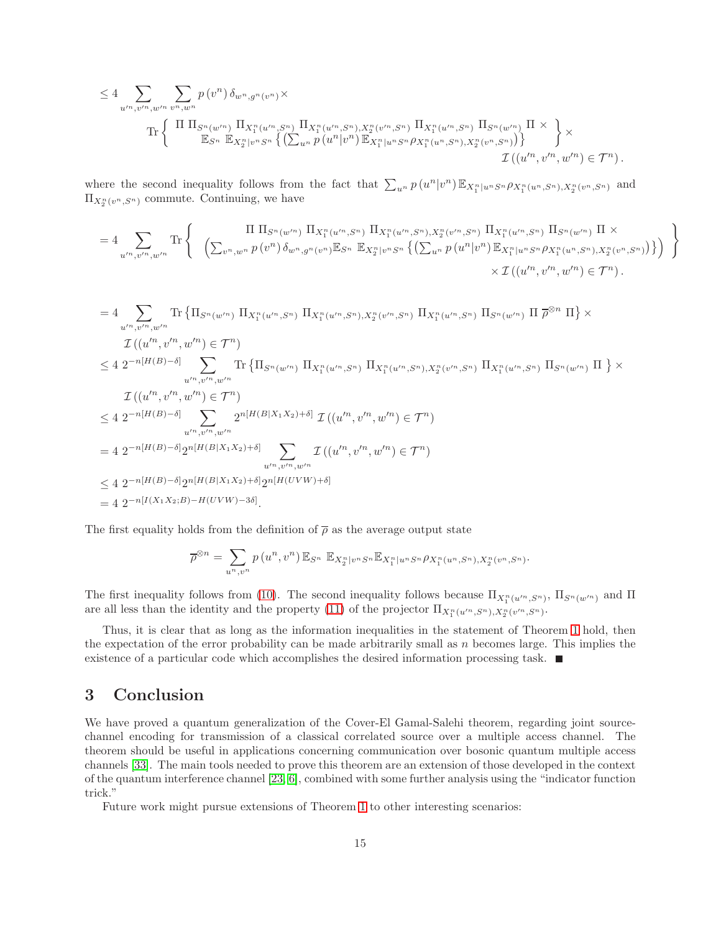$$
\leq 4 \sum_{u'^{n}, v'^{n}, w'^{n}} \sum_{v^{n}, w^{n}} p(v^{n}) \delta_{w^{n}, g^{n}(v^{n})} \times \prod_{\prod_{i=1}^{n} \prod_{j=1}^{n} \prod_{j=1}^{n} \prod_{j=1}^{n} \prod_{j=1}^{n} \prod_{j=1}^{n} \prod_{j=1}^{n} \prod_{j=1}^{n} \prod_{j=1}^{n} \prod_{j=1}^{n} \prod_{j=1}^{n} \prod_{j=1}^{n} \prod_{j=1}^{n} \prod_{j=1}^{n} \prod_{j=1}^{n} \prod_{j=1}^{n} \prod_{j=1}^{n} \prod_{j=1}^{n} \prod_{j=1}^{n} \prod_{j=1}^{n} \prod_{j=1}^{n} \prod_{j=1}^{n} \prod_{j=1}^{n} \prod_{j=1}^{n} \prod_{j=1}^{n} \prod_{j=1}^{n} \prod_{j=1}^{n} \prod_{j=1}^{n} \prod_{j=1}^{n} \prod_{j=1}^{n} \prod_{j=1}^{n} \prod_{j=1}^{n} \prod_{j=1}^{n} \prod_{j=1}^{n} \prod_{j=1}^{n} \prod_{j=1}^{n} \prod_{j=1}^{n} \prod_{j=1}^{n} \prod_{j=1}^{n} \prod_{j=1}^{n} \prod_{j=1}^{n} \prod_{j=1}^{n} \prod_{j=1}^{n} \prod_{j=1}^{n} \prod_{j=1}^{n} \prod_{j=1}^{n} \prod_{j=1}^{n} \prod_{j=1}^{n} \prod_{j=1}^{n} \prod_{j=1}^{n} \prod_{j=1}^{n} \prod_{j=1}^{n} \prod_{j=1}^{n} \prod_{j=1}^{n} \prod_{j=1}^{n} \prod_{j=1}^{n} \prod_{j=1}^{n} \prod_{j=1}^{n} \prod_{j=1}^{n} \prod_{j=1}^{n} \prod_{j=1}^{n} \prod_{j=1}^{n} \prod_{j=1}^{n} \prod_{j=1}^{n} \prod_{j=1}^{n} \prod_{j=1}^{n} \prod_{j=1}^{n} \prod_{j=1}^{n} \prod_{j=1}^{n} \prod_{j=1}^{n}
$$

where the second inequality follows from the fact that  $\sum_{u^n} p(u^n|v^n) \mathbb{E}_{X_1^n|u^n S^n} \rho_{X_1^n(u^n, S^n), X_2^n(v^n, S^n)}$  and  $\Pi_{X_2^n(v^n, S^n)}$  commute. Continuing, we have

$$
=4\sum_{u''',v''',w''} \text{Tr}\left\{\n\begin{array}{c}\n\prod \prod_{S^n(w'')} \prod_{X_1^n(u''',S^n)} \prod_{X_1^n(u''',S^n),X_2^n(v'',S^n)} \prod_{X_1^n(u''',S^n)} \prod_{S^n(w'')} \prod_{X \atop n} \prod_{w'' \atop n} \times n \left\{\sum_{v^n,w^n} p(v^n)\delta_{w^n,g^n(v^n)} \mathbb{E}_{S^n} \mathbb{E}_{X_2^n|v^n, S^n} \left\{\left(\sum_{u^n} p(u^n|v^n) \mathbb{E}_{X_1^n|u^n, S^n} \rho_{X_1^n(u^n, S^n),X_2^n(v^n, S^n)}\right)\right\}\right\} \\
\times \mathcal{I}\left((u'^n,v'^n,w'^n) \in \mathcal{T}^n\right).\n\end{array}\n\right\}
$$

$$
=4\sum_{u'',\,v''^{n},w''^{n}} \text{Tr}\left\{\Pi_{S^{n}(w'^{n})}\Pi_{X_{1}^{n}(u''^{n},S^{n})}\Pi_{X_{1}^{n}(u''^{n},S^{n})}\Pi_{X_{1}^{n}(u''^{n},S^{n})}\Pi_{S^{n}(w'^{n})}\Pi_{S^{n}(w'^{n})}\Pi_{S^{n}}\right\}\times
$$
  
\n
$$
\mathcal{I}((u''^{n},v''^{n},w''^{n})\in\mathcal{T}^{n})
$$
  
\n
$$
\leq 4\ 2^{-n[H(B)-\delta]}\sum_{u''^{n},v''^{n},w''^{n}} \text{Tr}\left\{\Pi_{S^{n}(w'^{n})}\Pi_{X_{1}^{n}(u''^{n},S^{n})}\Pi_{X_{1}^{n}(u''^{n},S^{n})}\Pi_{X_{1}^{n}(u''^{n},S^{n})}\Pi_{X_{1}^{n}(u''^{n},S^{n})}\Pi_{S^{n}(w''^{n})}\Pi_{S^{n}(w''^{n})}\Pi_{S^{n}(w''^{n})}\Pi_{S^{n}(w''^{n})}\Pi_{S^{n}(w''^{n})}\Pi_{S^{n}(w''^{n})}\Pi_{S^{n}(w''^{n})}\Pi_{S^{n}(w''^{n},S^{n})}\right\}
$$
  
\n
$$
\leq 4\ 2^{-n[H(B)-\delta]}\sum_{u''^{n},v''^{n},w''^{n}} 2^{n[H(B|X_{1}X_{2})+\delta]}\mathcal{I}((u''^{n},v''^{n},w'^{n})\in\mathcal{T}^{n})
$$
  
\n
$$
\leq 4\ 2^{-n[H(B)-\delta]}2^{n[H(B|X_{1}X_{2})+\delta]}2^{n[H(UVW)+\delta]}
$$
  
\n
$$
= 4\ 2^{-n[I(X_{1}X_{2};B)-H(UVW)-3\delta]}.
$$

The first equality holds from the definition of  $\bar{\rho}$  as the average output state

$$
\overline{\rho}^{\otimes n} = \sum_{u^n,v^n} p(u^n,v^n) \mathbb{E}_{S^n} \mathbb{E}_{X_2^n|v^n S^n} \mathbb{E}_{X_1^n|u^n S^n} \rho_{X_1^n(u^n,S^n),X_2^n(v^n,S^n)}.
$$

The first inequality follows from [\(10\)](#page-16-1). The second inequality follows because  $\Pi_{X_1^n(u'^n, S^n)}$ ,  $\Pi_{S^n(w'^n)}$  and  $\Pi$ are all less than the identity and the property [\(11\)](#page-17-2) of the projector  $\Pi_{X_1^n(u'^n, S^n), X_2^n(v'^n, S^n)}$ .

Thus, it is clear that as long as the information inequalities in the statement of Theorem [1](#page-2-0) hold, then the expectation of the error probability can be made arbitrarily small as  $n$  becomes large. This implies the existence of a particular code which accomplishes the desired information processing task.

#### <span id="page-15-0"></span>3 Conclusion

We have proved a quantum generalization of the Cover-El Gamal-Salehi theorem, regarding joint sourcechannel encoding for transmission of a classical correlated source over a multiple access channel. The theorem should be useful in applications concerning communication over bosonic quantum multiple access channels [\[33\]](#page-21-1). The main tools needed to prove this theorem are an extension of those developed in the context of the quantum interference channel [\[23,](#page-20-6) [6\]](#page-19-9), combined with some further analysis using the "indicator function trick."

Future work might pursue extensions of Theorem [1](#page-2-0) to other interesting scenarios: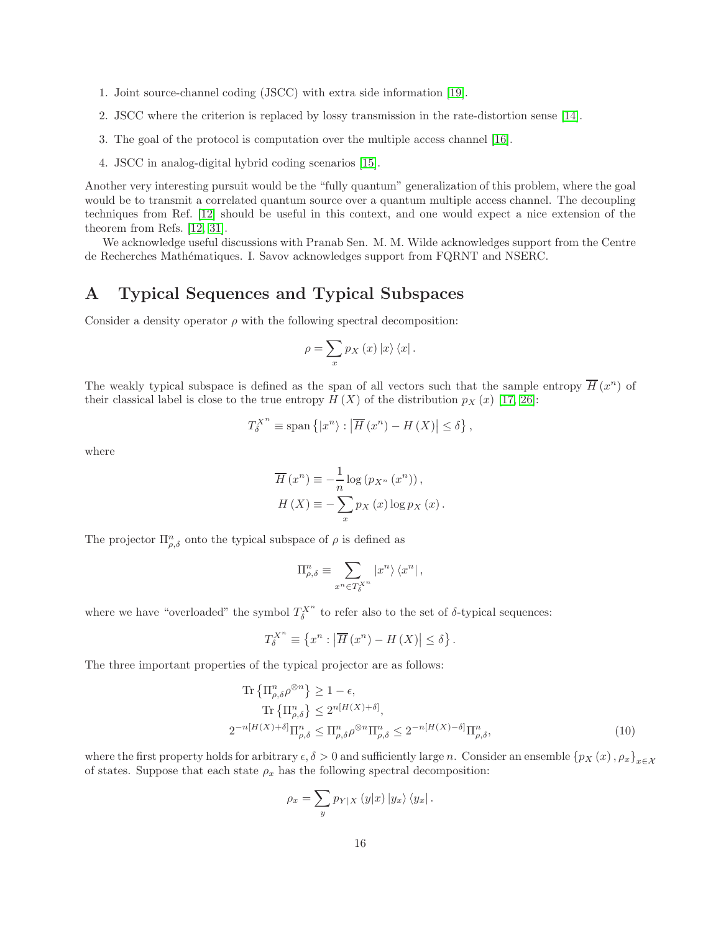- 1. Joint source-channel coding (JSCC) with extra side information [\[19\]](#page-20-10).
- 2. JSCC where the criterion is replaced by lossy transmission in the rate-distortion sense [\[14\]](#page-20-11).
- 3. The goal of the protocol is computation over the multiple access channel [\[16\]](#page-20-12).
- 4. JSCC in analog-digital hybrid coding scenarios [\[15\]](#page-20-13).

Another very interesting pursuit would be the "fully quantum" generalization of this problem, where the goal would be to transmit a correlated quantum source over a quantum multiple access channel. The decoupling techniques from Ref. [\[12\]](#page-19-12) should be useful in this context, and one would expect a nice extension of the theorem from Refs. [\[12,](#page-19-12) [31\]](#page-20-14).

We acknowledge useful discussions with Pranab Sen. M. M. Wilde acknowledges support from the Centre de Recherches Math´ematiques. I. Savov acknowledges support from FQRNT and NSERC.

### <span id="page-16-0"></span>A Typical Sequences and Typical Subspaces

Consider a density operator  $\rho$  with the following spectral decomposition:

$$
\rho = \sum_{x} p_X(x) \left| x \right\rangle \left\langle x \right|.
$$

The weakly typical subspace is defined as the span of all vectors such that the sample entropy  $\overline{H}(x^n)$  of their classical label is close to the true entropy  $H(X)$  of the distribution  $p_X(x)$  [\[17,](#page-20-15) [26\]](#page-20-5):

$$
T_{\delta}^{X^{n}} \equiv \text{span}\left\{ |x^{n}\rangle : \left| \overline{H}\left(x^{n}\right) - H\left(X\right) \right| \leq \delta \right\},\
$$

where

$$
\overline{H}(x^n) \equiv -\frac{1}{n} \log (p_{X^n} (x^n)),
$$
  

$$
H(X) \equiv -\sum_x p_X(x) \log p_X(x).
$$

The projector  $\Pi_{\rho,\delta}^n$  onto the typical subspace of  $\rho$  is defined as

$$
\Pi_{\rho,\delta}^n \equiv \sum_{x^n \in T_{\delta}^{X^n}} |x^n\rangle \langle x^n| \,,
$$

where we have "overloaded" the symbol  $T_{\delta}^{X^n}$  to refer also to the set of  $\delta$ -typical sequences:

$$
T_{\delta}^{X^{n}} \equiv \left\{ x^{n} : \left| \overline{H} \left( x^{n} \right) - H \left( X \right) \right| \leq \delta \right\}.
$$

The three important properties of the typical projector are as follows:

$$
\operatorname{Tr}\left\{\Pi_{\rho,\delta}^{n}\rho^{\otimes n}\right\} \ge 1 - \epsilon,
$$
\n
$$
\operatorname{Tr}\left\{\Pi_{\rho,\delta}^{n}\right\} \le 2^{n[H(X)+\delta]},
$$
\n
$$
2^{-n[H(X)+\delta]}\Pi_{\rho,\delta}^{n} \le \Pi_{\rho,\delta}^{n}\rho^{\otimes n}\Pi_{\rho,\delta}^{n} \le 2^{-n[H(X)-\delta]}\Pi_{\rho,\delta}^{n},
$$
\n(10)

where the first property holds for arbitrary  $\epsilon, \delta > 0$  and sufficiently large n. Consider an ensemble  ${p_X(x), \rho_x}_{x \in X}$ of states. Suppose that each state  $\rho_x$  has the following spectral decomposition:

<span id="page-16-1"></span>
$$
\rho_x = \sum_y p_{Y|X} (y|x) |y_x\rangle \langle y_x|.
$$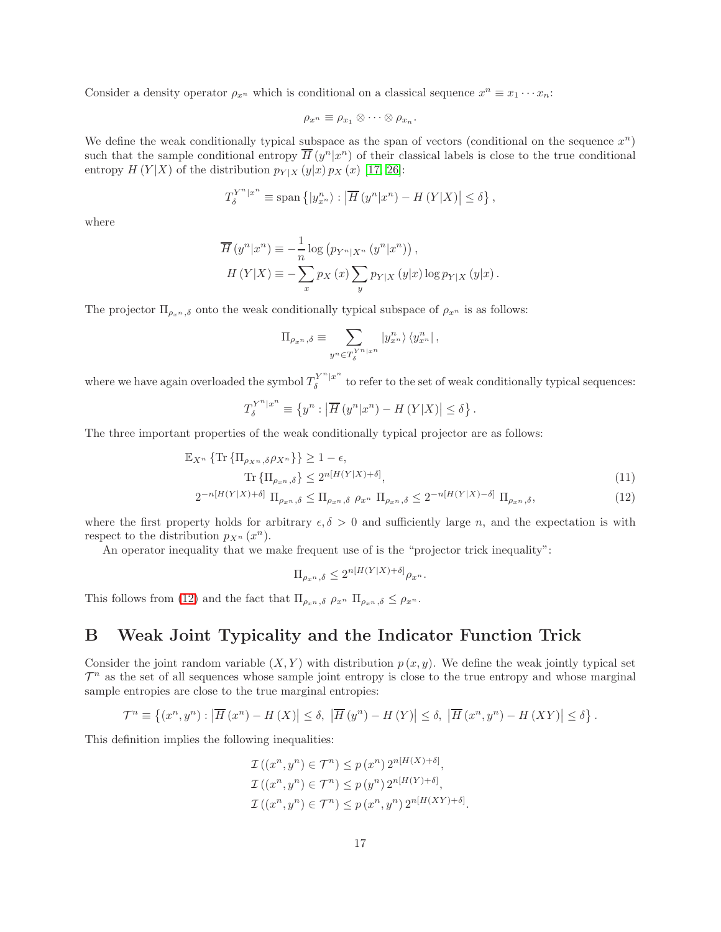Consider a density operator  $\rho_{x^n}$  which is conditional on a classical sequence  $x^n \equiv x_1 \cdots x_n$ :

$$
\rho_{x^n} \equiv \rho_{x_1} \otimes \cdots \otimes \rho_{x_n}.
$$

We define the weak conditionally typical subspace as the span of vectors (conditional on the sequence  $x^n$ ) such that the sample conditional entropy  $\overline{H}(y^n|x^n)$  of their classical labels is close to the true conditional entropy  $H(Y|X)$  of the distribution  $p_{Y|X}(y|x) p_X(x)$  [\[17,](#page-20-15) [26\]](#page-20-5):

$$
T_{\delta}^{Y^{n}|x^{n}} \equiv \text{span}\left\{|y_{x^{n}}^{n}\rangle : \left|\overline{H}\left(y^{n}|x^{n}\right) - H\left(Y|X\right)\right| \leq \delta\right\},\
$$

where

$$
\overline{H}(y^n|x^n) \equiv -\frac{1}{n}\log (p_{Y^n|X^n}(y^n|x^n)),
$$
  
\n
$$
H(Y|X) \equiv -\sum_x p_X(x) \sum_y p_{Y|X}(y|x) \log p_{Y|X}(y|x).
$$

The projector  $\Pi_{\rho_x n, \delta}$  onto the weak conditionally typical subspace of  $\rho_{x^n}$  is as follows:

$$
\Pi_{\rho_{x^n},\delta} \equiv \sum_{y^n \in T_{\delta}^{Y^n \vert x^n}} \vert y_{x^n}^n \rangle \, \langle y_{x^n}^n \vert \, ,
$$

where we have again overloaded the symbol  $T_{\delta}^{Y^{n}|x^{n}}$  $\delta$ <sup>t</sup> to refer to the set of weak conditionally typical sequences:

$$
T_{\delta}^{Y^{n}|x^{n}} \equiv \left\{ y^{n} : \left| \overline{H} \left( y^{n}|x^{n} \right) - H \left( Y|X \right) \right| \le \delta \right\}.
$$

The three important properties of the weak conditionally typical projector are as follows:

$$
\mathbb{E}_{X^n} \{ \text{Tr} \{ \Pi_{\rho_{X^n}, \delta} \rho_{X^n} \} \} \ge 1 - \epsilon,
$$
  
\n
$$
\text{Tr} \{ \Pi_{\rho_{x^n}, \delta} \} \le 2^{n[H(Y|X) + \delta]},
$$
  
\n
$$
2^{-n[H(Y|X) + \delta]} \Pi_{\rho_{x^n}, \delta} \le \Pi_{\rho_{x^n}, \delta} \rho_{x^n} \Pi_{\rho_{x^n}, \delta} \le 2^{-n[H(Y|X) - \delta]} \Pi_{\rho_{x^n}, \delta},
$$
\n(12)

where the first property holds for arbitrary  $\epsilon, \delta > 0$  and sufficiently large n, and the expectation is with respect to the distribution  $p_{X^n}(x^n)$ .

An operator inequality that we make frequent use of is the "projector trick inequality":

<span id="page-17-2"></span><span id="page-17-1"></span> $\Pi_{\rho_{x^n},\delta} \leq 2^{n[H(Y|X)+\delta]} \rho_{x^n}.$ 

This follows from [\(12\)](#page-17-1) and the fact that  $\Pi_{\rho_x n, \delta}$   $\rho_{x^n}$   $\Pi_{\rho_x n, \delta} \leq \rho_{x^n}$ .

### <span id="page-17-0"></span>B Weak Joint Typicality and the Indicator Function Trick

Consider the joint random variable  $(X, Y)$  with distribution  $p(x, y)$ . We define the weak jointly typical set  $\mathcal{T}^n$  as the set of all sequences whose sample joint entropy is close to the true entropy and whose marginal sample entropies are close to the true marginal entropies:

$$
\mathcal{T}^n \equiv \left\{ (x^n, y^n) : \left| \overline{H}(x^n) - H(X) \right| \le \delta, \, \left| \overline{H}(y^n) - H(Y) \right| \le \delta, \, \left| \overline{H}(x^n, y^n) - H(XY) \right| \le \delta \right\}.
$$

This definition implies the following inequalities:

$$
\mathcal{I}((x^n, y^n) \in \mathcal{T}^n) \le p(x^n) 2^{n[H(X)+\delta]},
$$
  
\n
$$
\mathcal{I}((x^n, y^n) \in \mathcal{T}^n) \le p(y^n) 2^{n[H(Y)+\delta]},
$$
  
\n
$$
\mathcal{I}((x^n, y^n) \in \mathcal{T}^n) \le p(x^n, y^n) 2^{n[H(XY)+\delta]}
$$

.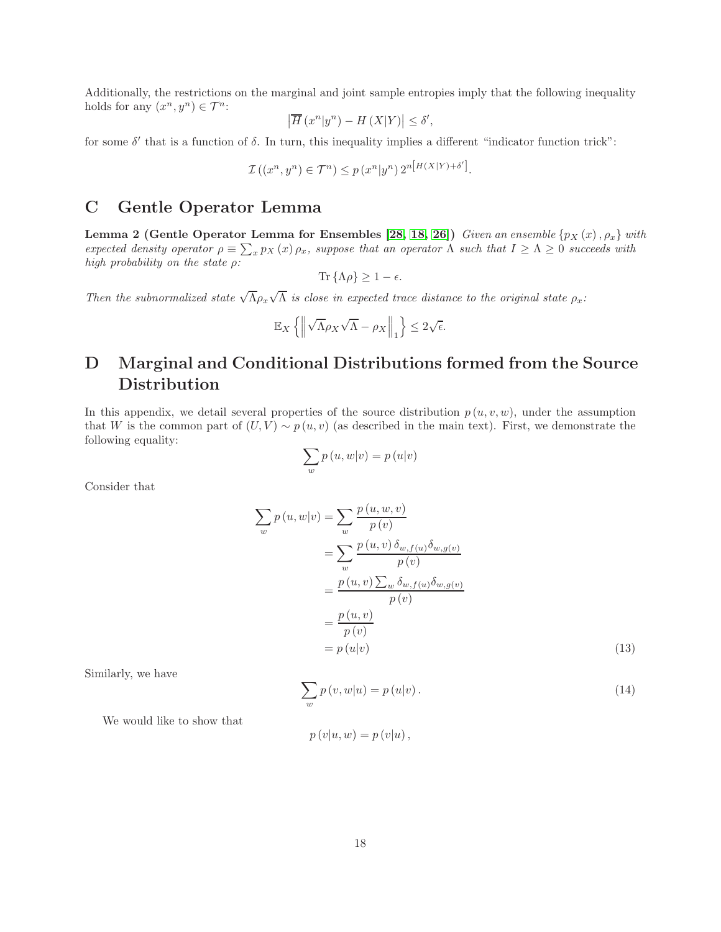Additionally, the restrictions on the marginal and joint sample entropies imply that the following inequality holds for any  $(x^n, y^n) \in \mathcal{T}^n$ :

$$
\left|\overline{H}\left(x^n|y^n\right) - H\left(X|Y\right)\right| \le \delta',
$$

for some  $\delta'$  that is a function of  $\delta$ . In turn, this inequality implies a different "indicator function trick":

$$
\mathcal{I}\left(\left(x^n, y^n\right) \in \mathcal{T}^n\right) \le p\left(x^n | y^n\right) 2^{n\left[H(X|Y) + \delta'\right]}.
$$

#### <span id="page-18-1"></span>C Gentle Operator Lemma

**Lemma 2 (Gentle Operator Lemma for Ensembles [\[28,](#page-20-16) [18,](#page-20-17) [26\]](#page-20-5))** *Given an ensemble*  $\{p_X(x), \rho_x\}$  *with expected density operator*  $\rho \equiv \sum_x p_X(x) \rho_x$ , *suppose that an operator*  $\Lambda$  *such that*  $I \ge \Lambda \ge 0$  *succeeds with high probability on the state* ρ*:*

$$
\text{Tr}\left\{\Lambda \rho\right\} \geq 1 - \epsilon.
$$

*Then the subnormalized state*  $\sqrt{\Lambda} \rho_x \sqrt{\Lambda}$  *is close in expected trace distance to the original state*  $\rho_x$ *:* 

$$
\mathbb{E}_X\left\{\left\|\sqrt{\Lambda}\rho_X\sqrt{\Lambda}-\rho_X\right\|_1\right\}\leq 2\sqrt{\epsilon}.
$$

## D Marginal and Conditional Distributions formed from the Source **Distribution**

In this appendix, we detail several properties of the source distribution  $p(u, v, w)$ , under the assumption that W is the common part of  $(U, V) \sim p(u, v)$  (as described in the main text). First, we demonstrate the following equality:

$$
\sum_{w} p(u, w|v) = p(u|v)
$$

Consider that

$$
\sum_{w} p(u, w|v) = \sum_{w} \frac{p(u, w, v)}{p(v)}
$$

$$
= \sum_{w} \frac{p(u, v) \delta_{w, f(u)} \delta_{w, g(v)}}{p(v)}
$$

$$
= \frac{p(u, v) \sum_{w} \delta_{w, f(u)} \delta_{w, g(v)}}{p(v)}
$$

$$
= \frac{p(u, v)}{p(v)}
$$

$$
= p(u|v)
$$
(13)

Similarly, we have

<span id="page-18-0"></span>
$$
\sum_{w} p(v, w|u) = p(u|v).
$$
\n(14)

We would like to show that

$$
p(v|u, w) = p(v|u),
$$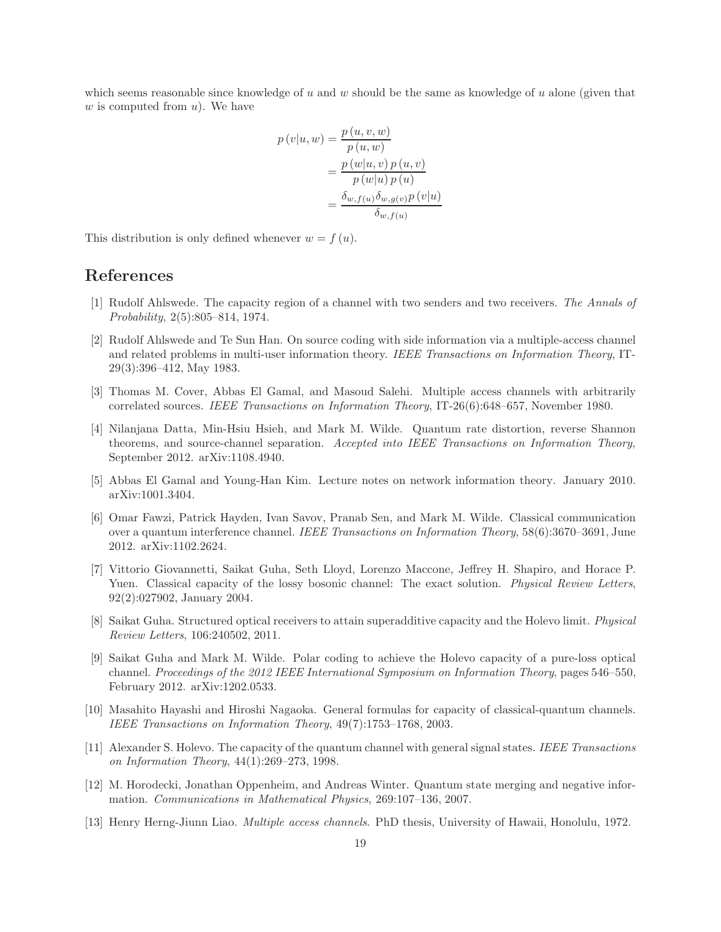which seems reasonable since knowledge of u and w should be the same as knowledge of u alone (given that  $w$  is computed from  $u$ ). We have

$$
p(v|u, w) = \frac{p(u, v, w)}{p(u, w)}
$$
  
= 
$$
\frac{p(w|u, v) p(u, v)}{p(w|u) p(u)}
$$
  
= 
$$
\frac{\delta_{w, f(u)} \delta_{w, g(v)} p(v|u)}{\delta_{w, f(u)}}
$$

This distribution is only defined whenever  $w = f(u)$ .

### <span id="page-19-1"></span>References

- [1] Rudolf Ahlswede. The capacity region of a channel with two senders and two receivers. *The Annals of Probability*, 2(5):805–814, 1974.
- <span id="page-19-8"></span>[2] Rudolf Ahlswede and Te Sun Han. On source coding with side information via a multiple-access channel and related problems in multi-user information theory. *IEEE Transactions on Information Theory*, IT-29(3):396–412, May 1983.
- <span id="page-19-2"></span>[3] Thomas M. Cover, Abbas El Gamal, and Masoud Salehi. Multiple access channels with arbitrarily correlated sources. *IEEE Transactions on Information Theory*, IT-26(6):648–657, November 1980.
- <span id="page-19-7"></span>[4] Nilanjana Datta, Min-Hsiu Hsieh, and Mark M. Wilde. Quantum rate distortion, reverse Shannon theorems, and source-channel separation. *Accepted into IEEE Transactions on Information Theory*, September 2012. arXiv:1108.4940.
- <span id="page-19-10"></span><span id="page-19-9"></span>[5] Abbas El Gamal and Young-Han Kim. Lecture notes on network information theory. January 2010. arXiv:1001.3404.
- [6] Omar Fawzi, Patrick Hayden, Ivan Savov, Pranab Sen, and Mark M. Wilde. Classical communication over a quantum interference channel. *IEEE Transactions on Information Theory*, 58(6):3670–3691, June 2012. arXiv:1102.2624.
- <span id="page-19-4"></span>[7] Vittorio Giovannetti, Saikat Guha, Seth Lloyd, Lorenzo Maccone, Jeffrey H. Shapiro, and Horace P. Yuen. Classical capacity of the lossy bosonic channel: The exact solution. *Physical Review Letters*, 92(2):027902, January 2004.
- <span id="page-19-5"></span>[8] Saikat Guha. Structured optical receivers to attain superadditive capacity and the Holevo limit. *Physical Review Letters*, 106:240502, 2011.
- <span id="page-19-6"></span>[9] Saikat Guha and Mark M. Wilde. Polar coding to achieve the Holevo capacity of a pure-loss optical channel. *Proceedings of the 2012 IEEE International Symposium on Information Theory*, pages 546–550, February 2012. arXiv:1202.0533.
- <span id="page-19-11"></span>[10] Masahito Hayashi and Hiroshi Nagaoka. General formulas for capacity of classical-quantum channels. *IEEE Transactions on Information Theory*, 49(7):1753–1768, 2003.
- <span id="page-19-3"></span>[11] Alexander S. Holevo. The capacity of the quantum channel with general signal states. *IEEE Transactions on Information Theory*, 44(1):269–273, 1998.
- <span id="page-19-12"></span>[12] M. Horodecki, Jonathan Oppenheim, and Andreas Winter. Quantum state merging and negative information. *Communications in Mathematical Physics*, 269:107–136, 2007.
- <span id="page-19-0"></span>[13] Henry Herng-Jiunn Liao. *Multiple access channels*. PhD thesis, University of Hawaii, Honolulu, 1972.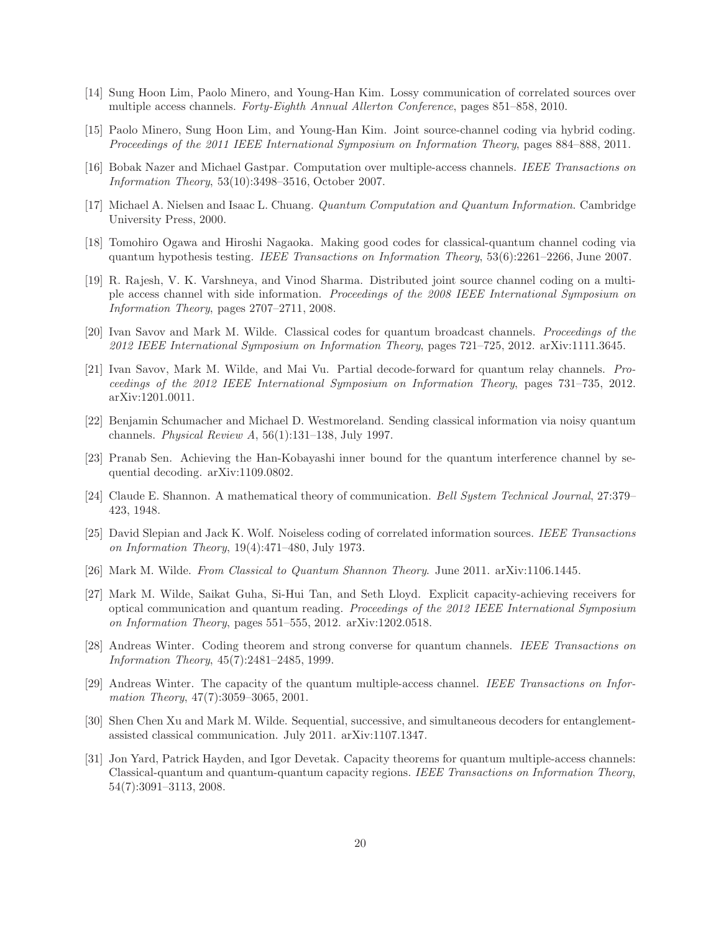- <span id="page-20-13"></span><span id="page-20-11"></span>[14] Sung Hoon Lim, Paolo Minero, and Young-Han Kim. Lossy communication of correlated sources over multiple access channels. *Forty-Eighth Annual Allerton Conference*, pages 851–858, 2010.
- <span id="page-20-12"></span>[15] Paolo Minero, Sung Hoon Lim, and Young-Han Kim. Joint source-channel coding via hybrid coding. *Proceedings of the 2011 IEEE International Symposium on Information Theory*, pages 884–888, 2011.
- [16] Bobak Nazer and Michael Gastpar. Computation over multiple-access channels. *IEEE Transactions on Information Theory*, 53(10):3498–3516, October 2007.
- <span id="page-20-15"></span>[17] Michael A. Nielsen and Isaac L. Chuang. *Quantum Computation and Quantum Information*. Cambridge University Press, 2000.
- <span id="page-20-17"></span>[18] Tomohiro Ogawa and Hiroshi Nagaoka. Making good codes for classical-quantum channel coding via quantum hypothesis testing. *IEEE Transactions on Information Theory*, 53(6):2261–2266, June 2007.
- <span id="page-20-10"></span>[19] R. Rajesh, V. K. Varshneya, and Vinod Sharma. Distributed joint source channel coding on a multiple access channel with side information. *Proceedings of the 2008 IEEE International Symposium on Information Theory*, pages 2707–2711, 2008.
- <span id="page-20-8"></span><span id="page-20-7"></span>[20] Ivan Savov and Mark M. Wilde. Classical codes for quantum broadcast channels. *Proceedings of the 2012 IEEE International Symposium on Information Theory*, pages 721–725, 2012. arXiv:1111.3645.
- [21] Ivan Savov, Mark M. Wilde, and Mai Vu. Partial decode-forward for quantum relay channels. *Proceedings of the 2012 IEEE International Symposium on Information Theory*, pages 731–735, 2012. arXiv:1201.0011.
- <span id="page-20-6"></span><span id="page-20-2"></span>[22] Benjamin Schumacher and Michael D. Westmoreland. Sending classical information via noisy quantum channels. *Physical Review A*, 56(1):131–138, July 1997.
- <span id="page-20-1"></span>[23] Pranab Sen. Achieving the Han-Kobayashi inner bound for the quantum interference channel by sequential decoding. arXiv:1109.0802.
- <span id="page-20-0"></span>[24] Claude E. Shannon. A mathematical theory of communication. *Bell System Technical Journal*, 27:379– 423, 1948.
- [25] David Slepian and Jack K. Wolf. Noiseless coding of correlated information sources. *IEEE Transactions on Information Theory*, 19(4):471–480, July 1973.
- <span id="page-20-5"></span><span id="page-20-3"></span>[26] Mark M. Wilde. *From Classical to Quantum Shannon Theory*. June 2011. arXiv:1106.1445.
- [27] Mark M. Wilde, Saikat Guha, Si-Hui Tan, and Seth Lloyd. Explicit capacity-achieving receivers for optical communication and quantum reading. *Proceedings of the 2012 IEEE International Symposium on Information Theory*, pages 551–555, 2012. arXiv:1202.0518.
- <span id="page-20-16"></span>[28] Andreas Winter. Coding theorem and strong converse for quantum channels. *IEEE Transactions on Information Theory*, 45(7):2481–2485, 1999.
- <span id="page-20-4"></span>[29] Andreas Winter. The capacity of the quantum multiple-access channel. *IEEE Transactions on Information Theory*, 47(7):3059–3065, 2001.
- <span id="page-20-9"></span>[30] Shen Chen Xu and Mark M. Wilde. Sequential, successive, and simultaneous decoders for entanglementassisted classical communication. July 2011. arXiv:1107.1347.
- <span id="page-20-14"></span>[31] Jon Yard, Patrick Hayden, and Igor Devetak. Capacity theorems for quantum multiple-access channels: Classical-quantum and quantum-quantum capacity regions. *IEEE Transactions on Information Theory*, 54(7):3091–3113, 2008.